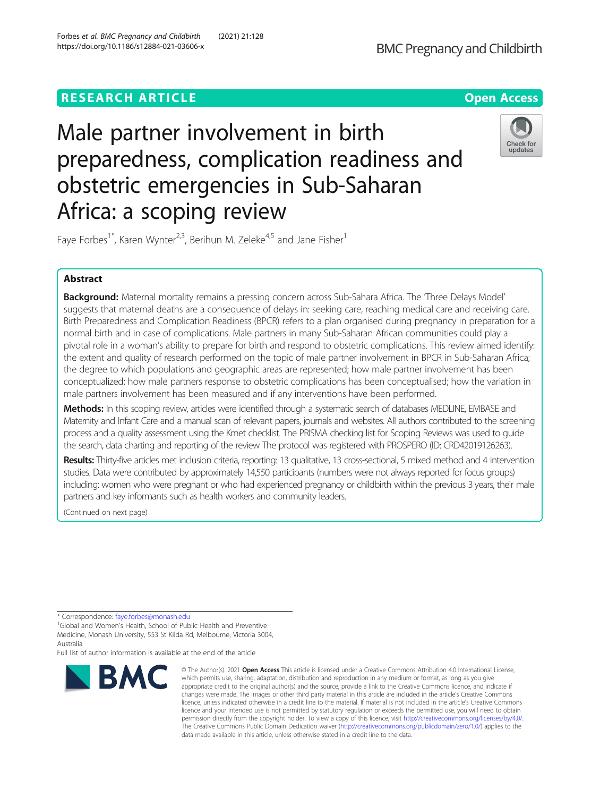# **RESEARCH ARTICLE Example 2014 12:30 The Contract of Contract ACCESS**



# Male partner involvement in birth preparedness, complication readiness and obstetric emergencies in Sub-Saharan Africa: a scoping review



Faye Forbes<sup>1\*</sup>, Karen Wynter<sup>2,3</sup>, Berihun M. Zeleke<sup>4,5</sup> and Jane Fisher<sup>1</sup>

# Abstract

Background: Maternal mortality remains a pressing concern across Sub-Sahara Africa. The Three Delays Model' suggests that maternal deaths are a consequence of delays in: seeking care, reaching medical care and receiving care. Birth Preparedness and Complication Readiness (BPCR) refers to a plan organised during pregnancy in preparation for a normal birth and in case of complications. Male partners in many Sub-Saharan African communities could play a pivotal role in a woman's ability to prepare for birth and respond to obstetric complications. This review aimed identify: the extent and quality of research performed on the topic of male partner involvement in BPCR in Sub-Saharan Africa; the degree to which populations and geographic areas are represented; how male partner involvement has been conceptualized; how male partners response to obstetric complications has been conceptualised; how the variation in male partners involvement has been measured and if any interventions have been performed.

Methods: In this scoping review, articles were identified through a systematic search of databases MEDLINE, EMBASE and Maternity and Infant Care and a manual scan of relevant papers, journals and websites. All authors contributed to the screening process and a quality assessment using the Kmet checklist. The PRISMA checking list for Scoping Reviews was used to guide the search, data charting and reporting of the review The protocol was registered with PROSPERO (ID: CRD42019126263).

Results: Thirty-five articles met inclusion criteria, reporting: 13 qualitative, 13 cross-sectional, 5 mixed method and 4 intervention studies. Data were contributed by approximately 14,550 participants (numbers were not always reported for focus groups) including: women who were pregnant or who had experienced pregnancy or childbirth within the previous 3 years, their male partners and key informants such as health workers and community leaders.

(Continued on next page)

Full list of author information is available at the end of the article



<sup>©</sup> The Author(s), 2021 **Open Access** This article is licensed under a Creative Commons Attribution 4.0 International License, which permits use, sharing, adaptation, distribution and reproduction in any medium or format, as long as you give appropriate credit to the original author(s) and the source, provide a link to the Creative Commons licence, and indicate if changes were made. The images or other third party material in this article are included in the article's Creative Commons licence, unless indicated otherwise in a credit line to the material. If material is not included in the article's Creative Commons licence and your intended use is not permitted by statutory regulation or exceeds the permitted use, you will need to obtain permission directly from the copyright holder. To view a copy of this licence, visit [http://creativecommons.org/licenses/by/4.0/.](http://creativecommons.org/licenses/by/4.0/) The Creative Commons Public Domain Dedication waiver [\(http://creativecommons.org/publicdomain/zero/1.0/](http://creativecommons.org/publicdomain/zero/1.0/)) applies to the data made available in this article, unless otherwise stated in a credit line to the data.

<sup>\*</sup> Correspondence: [faye.forbes@monash.edu](mailto:faye.forbes@monash.edu)<br><sup>1</sup>Global and Women's Health, School of Public Health and Preventive Medicine, Monash University, 553 St Kilda Rd, Melbourne, Victoria 3004, Australia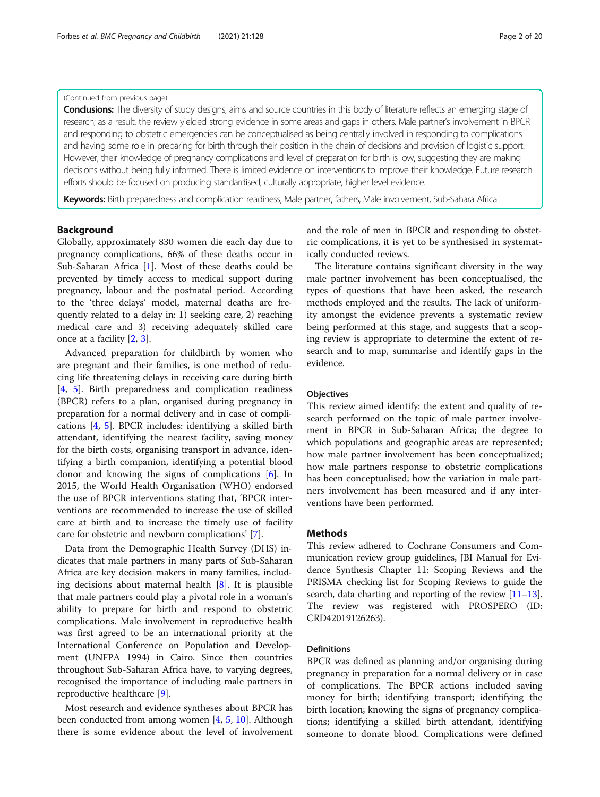## (Continued from previous page)

Conclusions: The diversity of study designs, aims and source countries in this body of literature reflects an emerging stage of research; as a result, the review yielded strong evidence in some areas and gaps in others. Male partner's involvement in BPCR and responding to obstetric emergencies can be conceptualised as being centrally involved in responding to complications and having some role in preparing for birth through their position in the chain of decisions and provision of logistic support. However, their knowledge of pregnancy complications and level of preparation for birth is low, suggesting they are making decisions without being fully informed. There is limited evidence on interventions to improve their knowledge. Future research efforts should be focused on producing standardised, culturally appropriate, higher level evidence.

Keywords: Birth preparedness and complication readiness, Male partner, fathers, Male involvement, Sub-Sahara Africa

## Background

Globally, approximately 830 women die each day due to pregnancy complications, 66% of these deaths occur in Sub-Saharan Africa [\[1](#page-18-0)]. Most of these deaths could be prevented by timely access to medical support during pregnancy, labour and the postnatal period. According to the 'three delays' model, maternal deaths are frequently related to a delay in: 1) seeking care, 2) reaching medical care and 3) receiving adequately skilled care once at a facility [[2,](#page-18-0) [3\]](#page-18-0).

Advanced preparation for childbirth by women who are pregnant and their families, is one method of reducing life threatening delays in receiving care during birth [[4,](#page-18-0) [5](#page-18-0)]. Birth preparedness and complication readiness (BPCR) refers to a plan, organised during pregnancy in preparation for a normal delivery and in case of complications [[4,](#page-18-0) [5\]](#page-18-0). BPCR includes: identifying a skilled birth attendant, identifying the nearest facility, saving money for the birth costs, organising transport in advance, identifying a birth companion, identifying a potential blood donor and knowing the signs of complications [[6\]](#page-18-0). In 2015, the World Health Organisation (WHO) endorsed the use of BPCR interventions stating that, 'BPCR interventions are recommended to increase the use of skilled care at birth and to increase the timely use of facility care for obstetric and newborn complications' [\[7](#page-18-0)].

Data from the Demographic Health Survey (DHS) indicates that male partners in many parts of Sub-Saharan Africa are key decision makers in many families, including decisions about maternal health  $[8]$  $[8]$ . It is plausible that male partners could play a pivotal role in a woman's ability to prepare for birth and respond to obstetric complications. Male involvement in reproductive health was first agreed to be an international priority at the International Conference on Population and Development (UNFPA 1994) in Cairo. Since then countries throughout Sub-Saharan Africa have, to varying degrees, recognised the importance of including male partners in reproductive healthcare [\[9](#page-18-0)].

Most research and evidence syntheses about BPCR has been conducted from among women [\[4](#page-18-0), [5,](#page-18-0) [10\]](#page-18-0). Although there is some evidence about the level of involvement and the role of men in BPCR and responding to obstetric complications, it is yet to be synthesised in systematically conducted reviews.

The literature contains significant diversity in the way male partner involvement has been conceptualised, the types of questions that have been asked, the research methods employed and the results. The lack of uniformity amongst the evidence prevents a systematic review being performed at this stage, and suggests that a scoping review is appropriate to determine the extent of research and to map, summarise and identify gaps in the evidence.

#### **Objectives**

This review aimed identify: the extent and quality of research performed on the topic of male partner involvement in BPCR in Sub-Saharan Africa; the degree to which populations and geographic areas are represented; how male partner involvement has been conceptualized; how male partners response to obstetric complications has been conceptualised; how the variation in male partners involvement has been measured and if any interventions have been performed.

#### Methods

This review adhered to Cochrane Consumers and Communication review group guidelines, JBI Manual for Evidence Synthesis Chapter 11: Scoping Reviews and the PRISMA checking list for Scoping Reviews to guide the search, data charting and reporting of the review  $[11-13]$  $[11-13]$  $[11-13]$  $[11-13]$ . The review was registered with PROSPERO (ID: CRD42019126263).

#### Definitions

BPCR was defined as planning and/or organising during pregnancy in preparation for a normal delivery or in case of complications. The BPCR actions included saving money for birth; identifying transport; identifying the birth location; knowing the signs of pregnancy complications; identifying a skilled birth attendant, identifying someone to donate blood. Complications were defined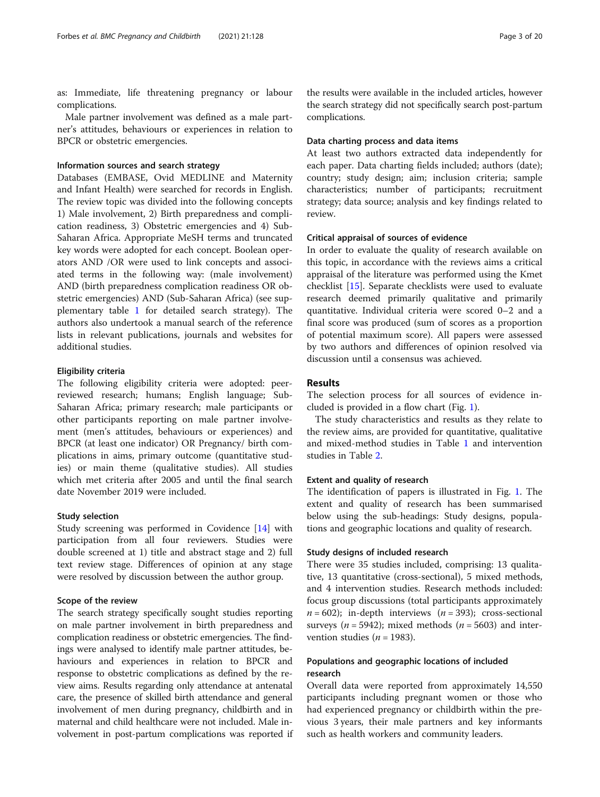as: Immediate, life threatening pregnancy or labour complications.

Male partner involvement was defined as a male partner's attitudes, behaviours or experiences in relation to BPCR or obstetric emergencies.

## Information sources and search strategy

Databases (EMBASE, Ovid MEDLINE and Maternity and Infant Health) were searched for records in English. The review topic was divided into the following concepts 1) Male involvement, 2) Birth preparedness and complication readiness, 3) Obstetric emergencies and 4) Sub-Saharan Africa. Appropriate MeSH terms and truncated key words were adopted for each concept. Boolean operators AND /OR were used to link concepts and associated terms in the following way: (male involvement) AND (birth preparedness complication readiness OR obstetric emergencies) AND (Sub-Saharan Africa) (see supplementary table [1](#page-17-0) for detailed search strategy). The authors also undertook a manual search of the reference lists in relevant publications, journals and websites for additional studies.

#### Eligibility criteria

The following eligibility criteria were adopted: peerreviewed research; humans; English language; Sub-Saharan Africa; primary research; male participants or other participants reporting on male partner involvement (men's attitudes, behaviours or experiences) and BPCR (at least one indicator) OR Pregnancy/ birth complications in aims, primary outcome (quantitative studies) or main theme (qualitative studies). All studies which met criteria after 2005 and until the final search date November 2019 were included.

## Study selection

Study screening was performed in Covidence [\[14](#page-18-0)] with participation from all four reviewers. Studies were double screened at 1) title and abstract stage and 2) full text review stage. Differences of opinion at any stage were resolved by discussion between the author group.

#### Scope of the review

The search strategy specifically sought studies reporting on male partner involvement in birth preparedness and complication readiness or obstetric emergencies. The findings were analysed to identify male partner attitudes, behaviours and experiences in relation to BPCR and response to obstetric complications as defined by the review aims. Results regarding only attendance at antenatal care, the presence of skilled birth attendance and general involvement of men during pregnancy, childbirth and in maternal and child healthcare were not included. Male involvement in post-partum complications was reported if

the results were available in the included articles, however the search strategy did not specifically search post-partum complications.

## Data charting process and data items

At least two authors extracted data independently for each paper. Data charting fields included; authors (date); country; study design; aim; inclusion criteria; sample characteristics; number of participants; recruitment strategy; data source; analysis and key findings related to review.

#### Critical appraisal of sources of evidence

In order to evaluate the quality of research available on this topic, in accordance with the reviews aims a critical appraisal of the literature was performed using the Kmet checklist [\[15\]](#page-18-0). Separate checklists were used to evaluate research deemed primarily qualitative and primarily quantitative. Individual criteria were scored 0–2 and a final score was produced (sum of scores as a proportion of potential maximum score). All papers were assessed by two authors and differences of opinion resolved via discussion until a consensus was achieved.

## Results

The selection process for all sources of evidence included is provided in a flow chart (Fig. [1\)](#page-3-0).

The study characteristics and results as they relate to the review aims, are provided for quantitative, qualitative and mixed-method studies in Table [1](#page-4-0) and intervention studies in Table [2.](#page-12-0)

#### Extent and quality of research

The identification of papers is illustrated in Fig. [1](#page-3-0). The extent and quality of research has been summarised below using the sub-headings: Study designs, populations and geographic locations and quality of research.

## Study designs of included research

There were 35 studies included, comprising: 13 qualitative, 13 quantitative (cross-sectional), 5 mixed methods, and 4 intervention studies. Research methods included: focus group discussions (total participants approximately  $n = 602$ ; in-depth interviews  $(n = 393)$ ; cross-sectional surveys ( $n = 5942$ ); mixed methods ( $n = 5603$ ) and intervention studies ( $n = 1983$ ).

## Populations and geographic locations of included research

Overall data were reported from approximately 14,550 participants including pregnant women or those who had experienced pregnancy or childbirth within the previous 3 years, their male partners and key informants such as health workers and community leaders.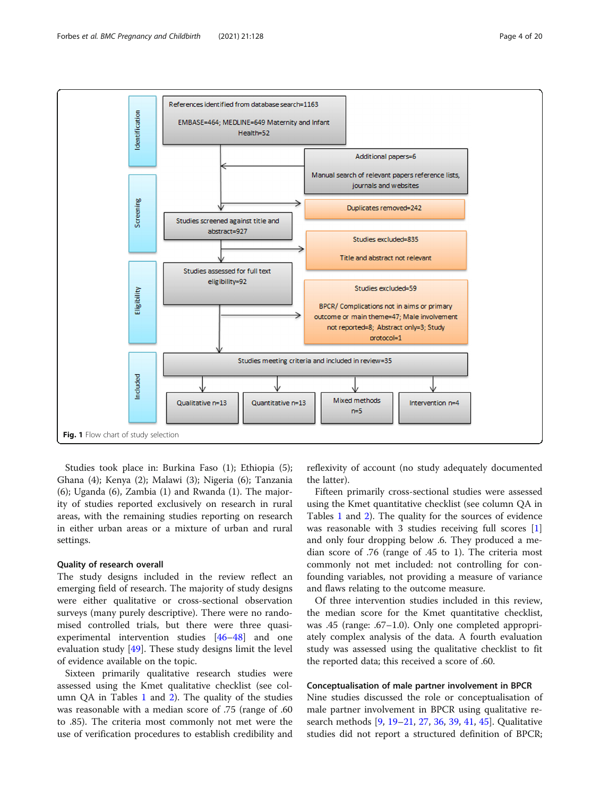<span id="page-3-0"></span>

Studies took place in: Burkina Faso (1); Ethiopia (5); Ghana (4); Kenya (2); Malawi (3); Nigeria (6); Tanzania (6); Uganda (6), Zambia (1) and Rwanda (1). The majority of studies reported exclusively on research in rural areas, with the remaining studies reporting on research in either urban areas or a mixture of urban and rural settings.

## Quality of research overall

The study designs included in the review reflect an emerging field of research. The majority of study designs were either qualitative or cross-sectional observation surveys (many purely descriptive). There were no randomised controlled trials, but there were three quasiexperimental intervention studies [[46](#page-19-0)–[48](#page-19-0)] and one evaluation study [[49\]](#page-19-0). These study designs limit the level of evidence available on the topic.

Sixteen primarily qualitative research studies were assessed using the Kmet qualitative checklist (see column QA in Tables  $1$  and  $2$ ). The quality of the studies was reasonable with a median score of .75 (range of .60 to .85). The criteria most commonly not met were the use of verification procedures to establish credibility and

reflexivity of account (no study adequately documented the latter).

Fifteen primarily cross-sectional studies were assessed using the Kmet quantitative checklist (see column QA in Tables [1](#page-4-0) and [2\)](#page-12-0). The quality for the sources of evidence was reasonable with 3 studies receiving full scores [\[1](#page-18-0)] and only four dropping below .6. They produced a median score of .76 (range of .45 to 1). The criteria most commonly not met included: not controlling for confounding variables, not providing a measure of variance and flaws relating to the outcome measure.

Of three intervention studies included in this review, the median score for the Kmet quantitative checklist, was .45 (range: .67–1.0). Only one completed appropriately complex analysis of the data. A fourth evaluation study was assessed using the qualitative checklist to fit the reported data; this received a score of .60.

## Conceptualisation of male partner involvement in BPCR

Nine studies discussed the role or conceptualisation of male partner involvement in BPCR using qualitative research methods [\[9,](#page-18-0) [19](#page-18-0)–[21,](#page-18-0) [27,](#page-18-0) [36,](#page-19-0) [39,](#page-19-0) [41,](#page-19-0) [45\]](#page-19-0). Qualitative studies did not report a structured definition of BPCR;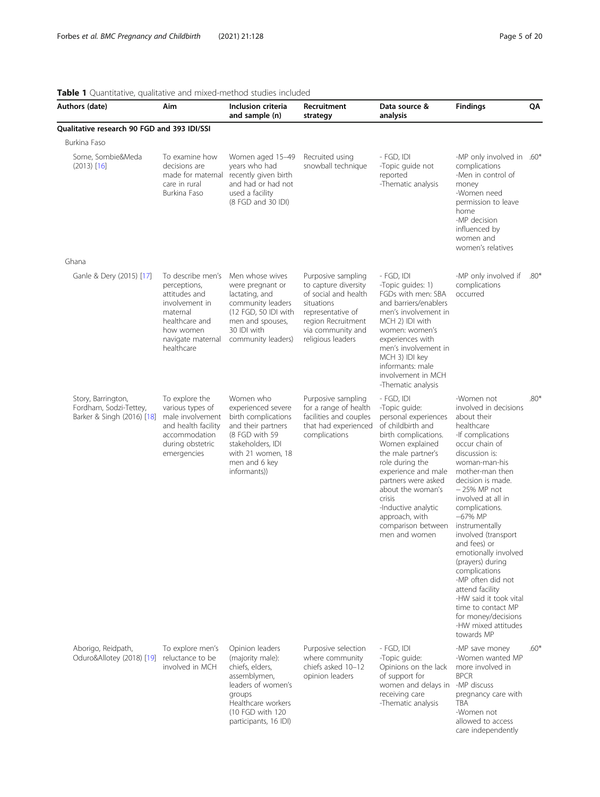care independently

<span id="page-4-0"></span>

| Authors (date)                                                             | Aim                                                                                                                                                | Inclusion criteria<br>and sample (n)                                                                                                                                      | Recruitment<br>strategy                                                                                                                                               | Data source &<br>analysis                                                                                                                                                                                                                                                                                                 | <b>Findings</b>                                                                                                                                                                                                                                                                                                                                                                                                                                                                                                                    | QΑ     |
|----------------------------------------------------------------------------|----------------------------------------------------------------------------------------------------------------------------------------------------|---------------------------------------------------------------------------------------------------------------------------------------------------------------------------|-----------------------------------------------------------------------------------------------------------------------------------------------------------------------|---------------------------------------------------------------------------------------------------------------------------------------------------------------------------------------------------------------------------------------------------------------------------------------------------------------------------|------------------------------------------------------------------------------------------------------------------------------------------------------------------------------------------------------------------------------------------------------------------------------------------------------------------------------------------------------------------------------------------------------------------------------------------------------------------------------------------------------------------------------------|--------|
| Qualitative research 90 FGD and 393 IDI/SSI                                |                                                                                                                                                    |                                                                                                                                                                           |                                                                                                                                                                       |                                                                                                                                                                                                                                                                                                                           |                                                                                                                                                                                                                                                                                                                                                                                                                                                                                                                                    |        |
| Burkina Faso                                                               |                                                                                                                                                    |                                                                                                                                                                           |                                                                                                                                                                       |                                                                                                                                                                                                                                                                                                                           |                                                                                                                                                                                                                                                                                                                                                                                                                                                                                                                                    |        |
| Some, Sombie&Meda<br>$(2013)$ [16]                                         | To examine how<br>decisions are<br>made for maternal<br>care in rural<br>Burkina Faso                                                              | Women aged 15-49<br>years who had<br>recently given birth<br>and had or had not<br>used a facility<br>(8 FGD and 30 IDI)                                                  | Recruited using<br>snowball technique                                                                                                                                 | - FGD, IDI<br>-Topic guide not<br>reported<br>-Thematic analysis                                                                                                                                                                                                                                                          | -MP only involved in .60*<br>complications<br>-Men in control of<br>money<br>-Women need<br>permission to leave<br>home<br>-MP decision<br>influenced by<br>women and<br>women's relatives                                                                                                                                                                                                                                                                                                                                         |        |
| Ghana                                                                      |                                                                                                                                                    |                                                                                                                                                                           |                                                                                                                                                                       |                                                                                                                                                                                                                                                                                                                           |                                                                                                                                                                                                                                                                                                                                                                                                                                                                                                                                    |        |
| Ganle & Dery (2015) [17]                                                   | To describe men's<br>perceptions,<br>attitudes and<br>involvement in<br>maternal<br>healthcare and<br>how women<br>navigate maternal<br>healthcare | Men whose wives<br>were pregnant or<br>lactating, and<br>community leaders<br>(12 FGD, 50 IDI with<br>men and spouses,<br>30 IDI with<br>community leaders)               | Purposive sampling<br>to capture diversity<br>of social and health<br>situations<br>representative of<br>region Recruitment<br>via community and<br>religious leaders | - FGD, IDI<br>-Topic quides: 1)<br>FGDs with men: SBA<br>and barriers/enablers<br>men's involvement in<br>MCH 2) IDI with<br>women: women's<br>experiences with<br>men's involvement in<br>MCH 3) IDI key<br>informants: male<br>involvement in MCH<br>-Thematic analysis                                                 | -MP only involved if<br>complications<br>occurred                                                                                                                                                                                                                                                                                                                                                                                                                                                                                  | $.80*$ |
| Story, Barrington,<br>Fordham, Sodzi-Tettey,<br>Barker & Singh (2016) [18] | To explore the<br>various types of<br>male involvement<br>and health facility<br>accommodation<br>during obstetric<br>emergencies                  | Women who<br>experienced severe<br>birth complications<br>and their partners<br>(8 FGD with 59<br>stakeholders, IDI<br>with 21 women, 18<br>men and 6 key<br>informants)) | Purposive sampling<br>for a range of health<br>facilities and couples<br>that had experienced<br>complications                                                        | - FGD, IDI<br>-Topic guide:<br>personal experiences<br>of childbirth and<br>birth complications.<br>Women explained<br>the male partner's<br>role during the<br>experience and male<br>partners were asked<br>about the woman's<br>crisis<br>-Inductive analytic<br>approach, with<br>comparison between<br>men and women | -Women not<br>involved in decisions<br>about their<br>healthcare<br>-If complications<br>occur chain of<br>discussion is:<br>woman-man-his<br>mother-man then<br>decision is made.<br>$-25%$ MP not<br>involved at all in<br>complications.<br>$-67%$ MP<br>instrumentally<br>involved (transport<br>and fees) or<br>emotionally involved<br>(prayers) during<br>complications<br>-MP often did not<br>attend facility<br>-HW said it took vital<br>time to contact MP<br>for money/decisions<br>-HW mixed attitudes<br>towards MP | $.80*$ |
| Aborigo, Reidpath,<br>Oduro&Allotey (2018) [19]                            | To explore men's<br>reluctance to be<br>involved in MCH                                                                                            | Opinion leaders<br>(majority male):<br>chiefs, elders,<br>assemblymen,<br>leaders of women's<br>groups<br>Healthcare workers<br>(10 FGD with 120<br>participants, 16 IDI) | Purposive selection<br>where community<br>chiefs asked 10-12<br>opinion leaders                                                                                       | - FGD, IDI<br>-Topic guide:<br>Opinions on the lack<br>of support for<br>women and delays in -MP discuss<br>receiving care<br>-Thematic analysis                                                                                                                                                                          | -MP save money<br>-Women wanted MP<br>more involved in<br><b>BPCR</b><br>pregnancy care with<br><b>TBA</b><br>-Women not<br>allowed to access                                                                                                                                                                                                                                                                                                                                                                                      | $.60*$ |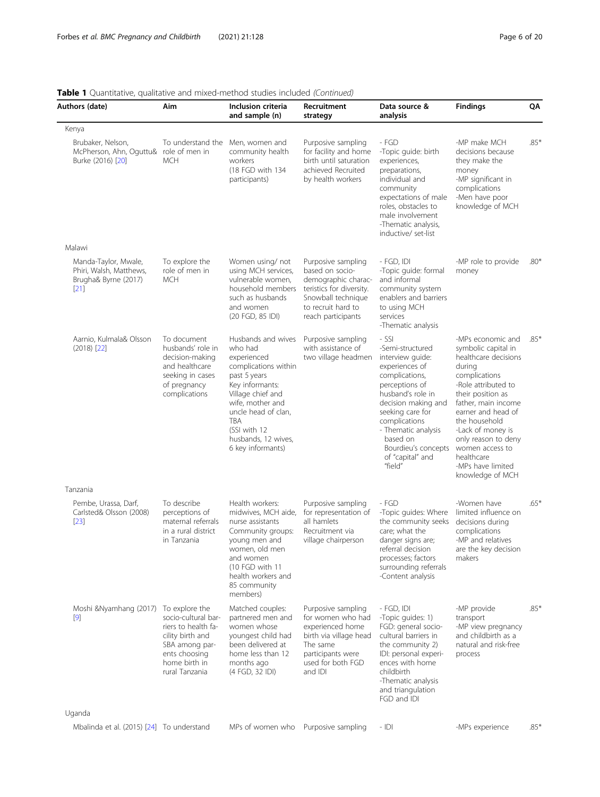| Authors (date)                                                                    | Aim                                                                                                                                  | Inclusion criteria<br>and sample (n)                                                                                                                                                                                                              | Recruitment<br>strategy                                                                                                                                    | Data source &<br>analysis                                                                                                                                                                                                                                                     | <b>Findings</b>                                                                                                                                                                                                                                                                                                             | QA     |
|-----------------------------------------------------------------------------------|--------------------------------------------------------------------------------------------------------------------------------------|---------------------------------------------------------------------------------------------------------------------------------------------------------------------------------------------------------------------------------------------------|------------------------------------------------------------------------------------------------------------------------------------------------------------|-------------------------------------------------------------------------------------------------------------------------------------------------------------------------------------------------------------------------------------------------------------------------------|-----------------------------------------------------------------------------------------------------------------------------------------------------------------------------------------------------------------------------------------------------------------------------------------------------------------------------|--------|
| Kenya                                                                             |                                                                                                                                      |                                                                                                                                                                                                                                                   |                                                                                                                                                            |                                                                                                                                                                                                                                                                               |                                                                                                                                                                                                                                                                                                                             |        |
| Brubaker, Nelson,<br>McPherson, Ahn, Oguttu& role of men in<br>Burke (2016) [20]  | To understand the<br><b>MCH</b>                                                                                                      | Men, women and<br>community health<br>workers<br>(18 FGD with 134<br>participants)                                                                                                                                                                | Purposive sampling<br>for facility and home<br>birth until saturation<br>achieved Recruited<br>by health workers                                           | - FGD<br>-Topic guide: birth<br>experiences,<br>preparations,<br>individual and<br>community<br>expectations of male<br>roles, obstacles to<br>male involvement<br>-Thematic analysis,<br>inductive/ set-list                                                                 | -MP make MCH<br>decisions because<br>they make the<br>money<br>-MP significant in<br>complications<br>-Men have poor<br>knowledge of MCH                                                                                                                                                                                    | $.85*$ |
| Malawi                                                                            |                                                                                                                                      |                                                                                                                                                                                                                                                   |                                                                                                                                                            |                                                                                                                                                                                                                                                                               |                                                                                                                                                                                                                                                                                                                             |        |
| Manda-Taylor, Mwale,<br>Phiri, Walsh, Matthews,<br>Brugha& Byrne (2017)<br>$[21]$ | To explore the<br>role of men in<br><b>MCH</b>                                                                                       | Women using/not<br>using MCH services,<br>vulnerable women,<br>household members<br>such as husbands<br>and women<br>(20 FGD, 85 IDI)                                                                                                             | Purposive sampling<br>based on socio-<br>demographic charac-<br>teristics for diversity.<br>Snowball technique<br>to recruit hard to<br>reach participants | - FGD, IDI<br>-Topic quide: formal<br>and informal<br>community system<br>enablers and barriers<br>to using MCH<br>services<br>-Thematic analysis                                                                                                                             | -MP role to provide<br>money                                                                                                                                                                                                                                                                                                | $.80*$ |
| Aarnio, Kulmala& Olsson<br>$(2018)$ $[22]$                                        | To document<br>husbands' role in<br>decision-making<br>and healthcare<br>seeking in cases<br>of pregnancy<br>complications           | Husbands and wives<br>who had<br>experienced<br>complications within<br>past 5 years<br>Key informants:<br>Village chief and<br>wife, mother and<br>uncle head of clan,<br><b>TBA</b><br>(SSI with 12<br>husbands, 12 wives,<br>6 key informants) | Purposive sampling<br>with assistance of<br>two village headmen                                                                                            | - SSI<br>-Semi-structured<br>interview guide:<br>experiences of<br>complications,<br>perceptions of<br>husband's role in<br>decision making and<br>seeking care for<br>complications<br>- Thematic analysis<br>based on<br>Bourdieu's concepts<br>of "capital" and<br>"field" | -MPs economic and<br>symbolic capital in<br>healthcare decisions<br>during<br>complications<br>-Role attributed to<br>their position as<br>father, main income<br>earner and head of<br>the household<br>-Lack of money is<br>only reason to deny<br>women access to<br>healthcare<br>-MPs have limited<br>knowledge of MCH | $.85*$ |
| Tanzania                                                                          |                                                                                                                                      |                                                                                                                                                                                                                                                   |                                                                                                                                                            |                                                                                                                                                                                                                                                                               |                                                                                                                                                                                                                                                                                                                             |        |
| Pembe, Urassa, Darf,<br>Carlsted& Olsson (2008)<br>$[23]$                         | To describe<br>perceptions of<br>maternal referrals<br>in a rural district<br>in Tanzania                                            | Health workers:<br>midwives, MCH aide,<br>nurse assistants<br>Community groups:<br>young men and<br>women, old men<br>and women<br>(10 FGD with 11<br>health workers and<br>85 community<br>members)                                              | Purposive sampling<br>for representation of<br>all hamlets<br>Recruitment via<br>village chairperson                                                       | - FGD<br>-Topic guides: Where<br>the community seeks<br>care: what the<br>danger signs are;<br>referral decision<br>processes; factors<br>surrounding referrals<br>-Content analysis                                                                                          | -Women have<br>limited influence on<br>decisions during<br>complications<br>-MP and relatives<br>are the key decision<br>makers                                                                                                                                                                                             | $.65*$ |
| Moshi & Nyamhang (2017) To explore the<br>$[9]$                                   | socio-cultural bar-<br>riers to health fa-<br>cility birth and<br>SBA among par-<br>ents choosing<br>home birth in<br>rural Tanzania | Matched couples:<br>partnered men and<br>women whose<br>youngest child had<br>been delivered at<br>home less than 12<br>months ago<br>(4 FGD, 32 IDI)                                                                                             | Purposive sampling<br>for women who had<br>experienced home<br>birth via village head<br>The same<br>participants were<br>used for both FGD<br>and IDI     | - FGD, IDI<br>-Topic guides: 1)<br>FGD: general socio-<br>cultural barriers in<br>the community 2)<br>IDI: personal experi-<br>ences with home<br>childbirth<br>-Thematic analysis<br>and triangulation<br>FGD and IDI                                                        | -MP provide<br>transport<br>-MP view pregnancy<br>and childbirth as a<br>natural and risk-free<br>process                                                                                                                                                                                                                   | $.85*$ |
| Uganda                                                                            |                                                                                                                                      |                                                                                                                                                                                                                                                   |                                                                                                                                                            |                                                                                                                                                                                                                                                                               |                                                                                                                                                                                                                                                                                                                             |        |
| Mbalinda et al. (2015) [24] To understand                                         |                                                                                                                                      | MPs of women who Purposive sampling                                                                                                                                                                                                               |                                                                                                                                                            | $-$ IDI                                                                                                                                                                                                                                                                       | -MPs experience                                                                                                                                                                                                                                                                                                             | $.85*$ |

Table 1 Quantitative, qualitative and mixed-method studies included (Continued)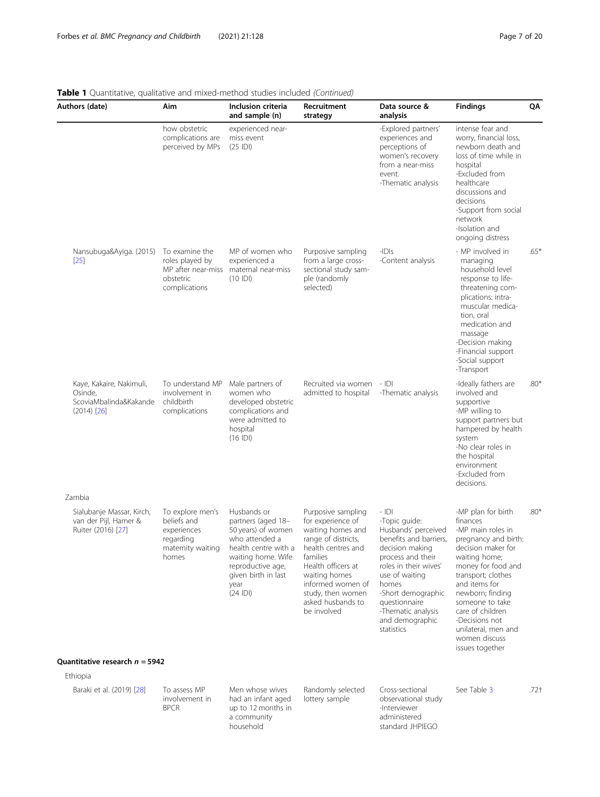| Authors (date)                                                                                               | Aim                                                                                       | Inclusion criteria<br>and sample (n)                                                                                                                                                    | Recruitment<br>strategy                                                                                                                                                                                                                    | Data source &<br>analysis                                                                                                                                                                                                                                         | <b>Findings</b>                                                                                                                                                                                                                                                                                                         | QΑ     |
|--------------------------------------------------------------------------------------------------------------|-------------------------------------------------------------------------------------------|-----------------------------------------------------------------------------------------------------------------------------------------------------------------------------------------|--------------------------------------------------------------------------------------------------------------------------------------------------------------------------------------------------------------------------------------------|-------------------------------------------------------------------------------------------------------------------------------------------------------------------------------------------------------------------------------------------------------------------|-------------------------------------------------------------------------------------------------------------------------------------------------------------------------------------------------------------------------------------------------------------------------------------------------------------------------|--------|
|                                                                                                              | how obstetric<br>complications are<br>perceived by MPs                                    | experienced near-<br>miss event<br>$(25$ IDI)                                                                                                                                           |                                                                                                                                                                                                                                            | -Explored partners'<br>experiences and<br>perceptions of<br>women's recovery<br>from a near-miss<br>event.<br>-Thematic analysis                                                                                                                                  | intense fear and<br>worry, financial loss,<br>newborn death and<br>loss of time while in<br>hospital<br>-Excluded from<br>healthcare<br>discussions and<br>decisions<br>-Support from social<br>network<br>-Isolation and<br>ongoing distress                                                                           |        |
| Nansubuga&Ayiga. (2015) To examine the<br>$[25]$                                                             | roles played by<br>MP after near-miss<br>obstetric<br>complications                       | MP of women who<br>experienced a<br>maternal near-miss<br>(10  D )                                                                                                                      | Purposive sampling<br>from a large cross-<br>sectional study sam-<br>ple (randomly<br>selected)                                                                                                                                            | $-IDIS$<br>-Content analysis                                                                                                                                                                                                                                      | - MP involved in<br>managing<br>household level<br>response to life-<br>threatening com-<br>plications: intra-<br>muscular medica-<br>tion, oral<br>medication and<br>massage<br>-Decision making<br>-Financial support<br>-Social support<br>-Transport                                                                | $.65*$ |
| Kaye, Kakaire, Nakimuli,<br>Osinde,<br>ScoviaMbalinda&Kakande<br>$(2014)$ $[26]$                             | To understand MP<br>involvement in<br>childbirth<br>complications                         | Male partners of<br>women who<br>developed obstetric<br>complications and<br>were admitted to<br>hospital<br>$(16$ IDI)                                                                 | Recruited via women - IDI<br>admitted to hospital                                                                                                                                                                                          | -Thematic analysis                                                                                                                                                                                                                                                | -Ideally fathers are<br>involved and<br>supportive<br>-MP willing to<br>support partners but<br>hampered by health<br>system<br>-No clear roles in<br>the hospital<br>environment<br>-Excluded from<br>decisions.                                                                                                       | $.80*$ |
| Zambia                                                                                                       |                                                                                           |                                                                                                                                                                                         |                                                                                                                                                                                                                                            |                                                                                                                                                                                                                                                                   |                                                                                                                                                                                                                                                                                                                         |        |
| Sialubanje Massar, Kirch,<br>van der Pijl, Hamer &<br>Ruiter (2016) [27]<br>Quantitative research $n = 5942$ | To explore men's<br>beliefs and<br>experiences<br>regarding<br>maternity waiting<br>homes | Husbands or<br>partners (aged 18-<br>50 years) of women<br>who attended a<br>health centre with a<br>waiting home. Wife<br>reproductive age,<br>given birth in last<br>year<br>(24  D ) | Purposive sampling<br>for experience of<br>waiting homes and<br>range of districts,<br>health centres and<br>families<br>Health officers at<br>waiting homes<br>informed women of<br>study, then women<br>asked husbands to<br>be involved | - IDI<br>-Topic quide:<br>Husbands' perceived<br>benefits and barriers,<br>decision making<br>process and their<br>roles in their wives'<br>use of waiting<br>homes<br>-Short demographic<br>questionnaire<br>-Thematic analysis<br>and demographic<br>statistics | -MP plan for birth<br>finances<br>-MP main roles in<br>pregnancy and birth:<br>decision maker for<br>waiting home;<br>money for food and<br>transport; clothes<br>and items for<br>newborn; finding<br>someone to take<br>care of children<br>-Decisions not<br>unilateral, men and<br>women discuss<br>issues together | $.80*$ |
| Ethiopia                                                                                                     |                                                                                           |                                                                                                                                                                                         |                                                                                                                                                                                                                                            |                                                                                                                                                                                                                                                                   |                                                                                                                                                                                                                                                                                                                         |        |
| Baraki et al. (2019) [28]                                                                                    | To assess MP<br>involvement in<br><b>BPCR</b>                                             | Men whose wives<br>had an infant aged<br>up to 12 months in<br>a community<br>household                                                                                                 | Randomly selected<br>lottery sample                                                                                                                                                                                                        | Cross-sectional<br>observational study<br>-Interviewer<br>administered<br>standard JHPIEGO                                                                                                                                                                        | See Table 3                                                                                                                                                                                                                                                                                                             | .72†   |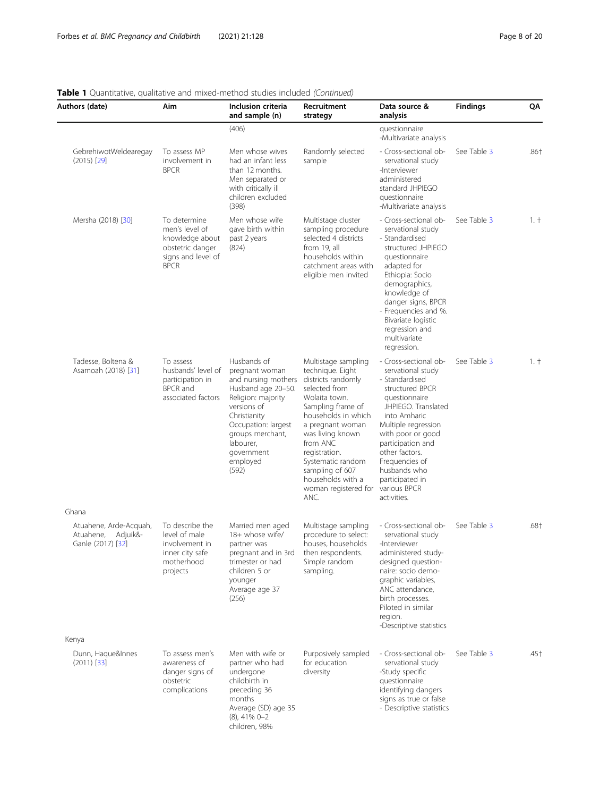| Authors (date)                                                    | Aim                                                                                                        | Inclusion criteria<br>and sample (n)                                                                                                                                                                                       | Recruitment<br>strategy                                                                                                                                                                                                                                                                                       | Data source &<br>analysis                                                                                                                                                                                                                                                                                      | <b>Findings</b> | QΑ     |
|-------------------------------------------------------------------|------------------------------------------------------------------------------------------------------------|----------------------------------------------------------------------------------------------------------------------------------------------------------------------------------------------------------------------------|---------------------------------------------------------------------------------------------------------------------------------------------------------------------------------------------------------------------------------------------------------------------------------------------------------------|----------------------------------------------------------------------------------------------------------------------------------------------------------------------------------------------------------------------------------------------------------------------------------------------------------------|-----------------|--------|
|                                                                   |                                                                                                            | (406)                                                                                                                                                                                                                      |                                                                                                                                                                                                                                                                                                               | questionnaire<br>-Multivariate analysis                                                                                                                                                                                                                                                                        |                 |        |
| GebrehiwotWeldearegay<br>$(2015)$ [29]                            | To assess MP<br>involvement in<br><b>BPCR</b>                                                              | Men whose wives<br>had an infant less<br>than 12 months.<br>Men separated or<br>with critically ill<br>children excluded<br>(398)                                                                                          | Randomly selected<br>sample                                                                                                                                                                                                                                                                                   | - Cross-sectional ob-<br>servational study<br>-Interviewer<br>administered<br>standard JHPIEGO<br>questionnaire<br>-Multivariate analysis                                                                                                                                                                      | See Table 3     | .86†   |
| Mersha (2018) [30]                                                | To determine<br>men's level of<br>knowledge about<br>obstetric danger<br>signs and level of<br><b>BPCR</b> | Men whose wife<br>gave birth within<br>past 2 years<br>(824)                                                                                                                                                               | Multistage cluster<br>sampling procedure<br>selected 4 districts<br>from 19, all<br>households within<br>catchment areas with<br>eligible men invited                                                                                                                                                         | - Cross-sectional ob-<br>servational study<br>- Standardised<br>structured JHPIEGO<br>questionnaire<br>adapted for<br>Ethiopia: Socio<br>demographics,<br>knowledge of<br>danger signs, BPCR<br>- Frequencies and %.<br>Bivariate logistic<br>regression and<br>multivariate<br>regression.                    | See Table 3     | 1. †   |
| Tadesse, Boltena &<br>Asamoah (2018) [31]                         | To assess<br>husbands' level of<br>participation in<br><b>BPCR</b> and<br>associated factors               | Husbands of<br>pregnant woman<br>and nursing mothers<br>Husband age 20-50.<br>Religion: majority<br>versions of<br>Christianity<br>Occupation: largest<br>groups merchant,<br>labourer,<br>government<br>employed<br>(592) | Multistage sampling<br>technique. Eight<br>districts randomly<br>selected from<br>Wolaita town.<br>Sampling frame of<br>households in which<br>a pregnant woman<br>was living known<br>from ANC<br>registration.<br>Systematic random<br>sampling of 607<br>households with a<br>woman registered for<br>ANC. | - Cross-sectional ob-<br>servational study<br>- Standardised<br>structured BPCR<br>questionnaire<br>JHPIEGO. Translated<br>into Amharic<br>Multiple regression<br>with poor or good<br>participation and<br>other factors.<br>Frequencies of<br>husbands who<br>participated in<br>various BPCR<br>activities. | See Table 3     | $1. +$ |
| Ghana                                                             |                                                                                                            |                                                                                                                                                                                                                            |                                                                                                                                                                                                                                                                                                               |                                                                                                                                                                                                                                                                                                                |                 |        |
| Atuahene, Arde-Acquah,<br>Atuahene, Adjuik&-<br>Ganle (2017) [32] | To describe the<br>level of male<br>involvement in<br>inner city safe<br>motherhood<br>projects            | Married men aged<br>18+ whose wife/<br>partner was<br>pregnant and in 3rd<br>trimester or had<br>children 5 or<br>younger<br>Average age 37<br>(256)                                                                       | Multistage sampling<br>procedure to select:<br>houses, households<br>then respondents.<br>Simple random<br>sampling.                                                                                                                                                                                          | - Cross-sectional ob-<br>servational study<br>-Interviewer<br>administered study-<br>designed question-<br>naire: socio demo-<br>graphic variables,<br>ANC attendance,<br>birth processes.<br>Piloted in similar<br>region.<br>-Descriptive statistics                                                         | See Table 3     | .68†   |
| Kenya                                                             |                                                                                                            |                                                                                                                                                                                                                            |                                                                                                                                                                                                                                                                                                               |                                                                                                                                                                                                                                                                                                                |                 |        |
| Dunn, Haque&Innes<br>$(2011)$ [33]                                | To assess men's<br>awareness of<br>danger signs of<br>obstetric<br>complications                           | Men with wife or<br>partner who had<br>undergone<br>childbirth in<br>preceding 36<br>months<br>Average (SD) age 35<br>$(8)$ , 41% 0-2<br>children, 98%                                                                     | Purposively sampled<br>for education<br>diversity                                                                                                                                                                                                                                                             | - Cross-sectional ob-<br>servational study<br>-Study specific<br>questionnaire<br>identifying dangers<br>signs as true or false<br>- Descriptive statistics                                                                                                                                                    | See Table 3     | .45†   |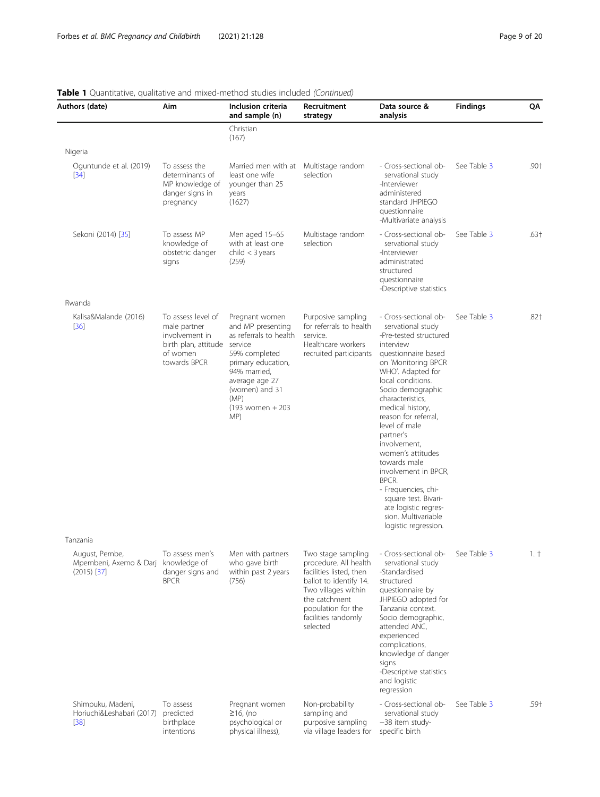| Authors (date)                                                         | Aim                                                                                                      | Inclusion criteria<br>and sample (n)                                                                                                                                                                     | Recruitment<br>strategy                                                                                                                                                                           | Data source &<br>analysis                                                                                                                                                                                                                                                                                                                                                                                                                                                                                | <b>Findings</b> | QA     |
|------------------------------------------------------------------------|----------------------------------------------------------------------------------------------------------|----------------------------------------------------------------------------------------------------------------------------------------------------------------------------------------------------------|---------------------------------------------------------------------------------------------------------------------------------------------------------------------------------------------------|----------------------------------------------------------------------------------------------------------------------------------------------------------------------------------------------------------------------------------------------------------------------------------------------------------------------------------------------------------------------------------------------------------------------------------------------------------------------------------------------------------|-----------------|--------|
|                                                                        |                                                                                                          | Christian<br>(167)                                                                                                                                                                                       |                                                                                                                                                                                                   |                                                                                                                                                                                                                                                                                                                                                                                                                                                                                                          |                 |        |
| Nigeria                                                                |                                                                                                          |                                                                                                                                                                                                          |                                                                                                                                                                                                   |                                                                                                                                                                                                                                                                                                                                                                                                                                                                                                          |                 |        |
| Oguntunde et al. (2019)<br>$[34]$                                      | To assess the<br>determinants of<br>MP knowledge of<br>danger signs in<br>pregnancy                      | Married men with at Multistage random<br>least one wife<br>younger than 25<br>years<br>(1627)                                                                                                            | selection                                                                                                                                                                                         | - Cross-sectional ob-<br>servational study<br>-Interviewer<br>administered<br>standard JHPIEGO<br>questionnaire<br>-Multivariate analysis                                                                                                                                                                                                                                                                                                                                                                | See Table 3     | $.90+$ |
| Sekoni (2014) [35]                                                     | To assess MP<br>knowledge of<br>obstetric danger<br>signs                                                | Men aged 15-65<br>with at least one<br>child $<$ 3 years<br>(259)                                                                                                                                        | Multistage random<br>selection                                                                                                                                                                    | - Cross-sectional ob-<br>servational study<br>-Interviewer<br>administrated<br>structured<br>questionnaire<br>-Descriptive statistics                                                                                                                                                                                                                                                                                                                                                                    | See Table 3     | $.63+$ |
| Rwanda                                                                 |                                                                                                          |                                                                                                                                                                                                          |                                                                                                                                                                                                   |                                                                                                                                                                                                                                                                                                                                                                                                                                                                                                          |                 |        |
| Kalisa&Malande (2016)<br>$[36]$                                        | To assess level of<br>male partner<br>involvement in<br>birth plan, attitude<br>of women<br>towards BPCR | Pregnant women<br>and MP presenting<br>as referrals to health<br>service<br>59% completed<br>primary education,<br>94% married,<br>average age 27<br>(women) and 31<br>(MP)<br>$(193$ women + 203<br>MP) | Purposive sampling<br>for referrals to health<br>service.<br>Healthcare workers<br>recruited participants                                                                                         | - Cross-sectional ob-<br>servational study<br>-Pre-tested structured<br>interview<br>questionnaire based<br>on 'Monitoring BPCR<br>WHO'. Adapted for<br>local conditions.<br>Socio demographic<br>characteristics,<br>medical history,<br>reason for referral,<br>level of male<br>partner's<br>involvement,<br>women's attitudes<br>towards male<br>involvement in BPCR,<br>BPCR.<br>- Frequencies, chi-<br>square test. Bivari-<br>ate logistic regres-<br>sion. Multivariable<br>logistic regression. | See Table 3     | $.82+$ |
| Tanzania                                                               |                                                                                                          |                                                                                                                                                                                                          |                                                                                                                                                                                                   |                                                                                                                                                                                                                                                                                                                                                                                                                                                                                                          |                 |        |
| August, Pembe,<br>Mpembeni, Axemo & Darj knowledge of<br>$(2015)$ [37] | To assess men's<br>danger signs and<br><b>BPCR</b>                                                       | Men with partners<br>who gave birth<br>within past 2 years<br>(756)                                                                                                                                      | Two stage sampling<br>procedure. All health<br>facilities listed, then<br>ballot to identify 14.<br>Two villages within<br>the catchment<br>population for the<br>facilities randomly<br>selected | - Cross-sectional ob-<br>servational study<br>-Standardised<br>structured<br>questionnaire by<br>JHPIEGO adopted for<br>Tanzania context.<br>Socio demographic,<br>attended ANC,<br>experienced<br>complications,<br>knowledge of danger<br>signs<br>-Descriptive statistics<br>and logistic<br>regression                                                                                                                                                                                               | See Table 3     | 1. †   |
| Shimpuku, Madeni,<br>Horiuchi&Leshabari (2017)<br>$[38]$               | To assess<br>predicted<br>birthplace<br>intentions                                                       | Pregnant women<br>$\geq$ 16, (no<br>psychological or<br>physical illness),                                                                                                                               | Non-probability<br>sampling and<br>purposive sampling<br>via village leaders for                                                                                                                  | - Cross-sectional ob-<br>servational study<br>-38 item study-<br>specific birth                                                                                                                                                                                                                                                                                                                                                                                                                          | See Table 3     | .59+   |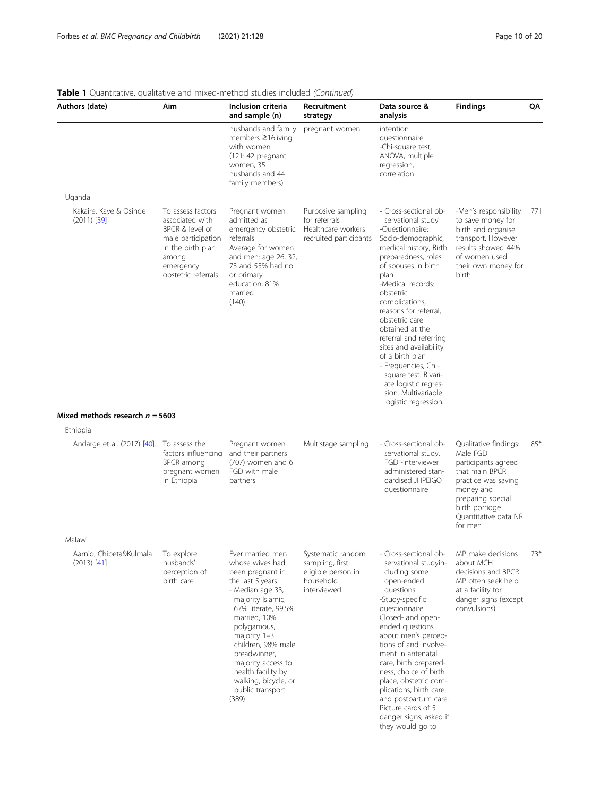| Authors (date)                           | Aim                                                                                                                                             | Inclusion criteria<br>and sample (n)                                                                                                                                                                                                                                                                                               | Recruitment<br>strategy                                                                | Data source &<br>analysis                                                                                                                                                                                                                                                                                                                                                                                                                                                          | <b>Findings</b>                                                                                                                                                                          | QΑ     |
|------------------------------------------|-------------------------------------------------------------------------------------------------------------------------------------------------|------------------------------------------------------------------------------------------------------------------------------------------------------------------------------------------------------------------------------------------------------------------------------------------------------------------------------------|----------------------------------------------------------------------------------------|------------------------------------------------------------------------------------------------------------------------------------------------------------------------------------------------------------------------------------------------------------------------------------------------------------------------------------------------------------------------------------------------------------------------------------------------------------------------------------|------------------------------------------------------------------------------------------------------------------------------------------------------------------------------------------|--------|
|                                          |                                                                                                                                                 | husbands and family<br>members $\geq$ 16 living<br>with women<br>(121: 42 prequant<br>women, 35<br>husbands and 44<br>family members)                                                                                                                                                                                              | pregnant women                                                                         | intention<br>questionnaire<br>-Chi-square test,<br>ANOVA, multiple<br>regression,<br>correlation                                                                                                                                                                                                                                                                                                                                                                                   |                                                                                                                                                                                          |        |
| Uganda                                   |                                                                                                                                                 |                                                                                                                                                                                                                                                                                                                                    |                                                                                        |                                                                                                                                                                                                                                                                                                                                                                                                                                                                                    |                                                                                                                                                                                          |        |
| Kakaire, Kaye & Osinde<br>$(2011)$ [39]  | To assess factors<br>associated with<br>BPCR & level of<br>male participation<br>in the birth plan<br>among<br>emergency<br>obstetric referrals | Pregnant women<br>admitted as<br>emergency obstetric<br>referrals<br>Average for women<br>and men: age 26, 32,<br>73 and 55% had no<br>or primary<br>education, 81%<br>married<br>(140)                                                                                                                                            | Purposive sampling<br>for referrals<br>Healthcare workers<br>recruited participants    | - Cross-sectional ob-<br>servational study<br>-Ouestionnaire:<br>Socio-demographic,<br>medical history, Birth<br>preparedness, roles<br>of spouses in birth<br>plan<br>-Medical records:<br>obstetric<br>complications,<br>reasons for referral,<br>obstetric care<br>obtained at the<br>referral and referring<br>sites and availability<br>of a birth plan<br>- Frequencies, Chi-<br>square test. Bivari-<br>ate logistic regres-<br>sion. Multivariable<br>logistic regression. | -Men's responsibility<br>to save money for<br>birth and organise<br>transport. However<br>results showed 44%<br>of women used<br>their own money for<br>birth                            | .77†   |
| Mixed methods research $n = 5603$        |                                                                                                                                                 |                                                                                                                                                                                                                                                                                                                                    |                                                                                        |                                                                                                                                                                                                                                                                                                                                                                                                                                                                                    |                                                                                                                                                                                          |        |
| Ethiopia                                 |                                                                                                                                                 |                                                                                                                                                                                                                                                                                                                                    |                                                                                        |                                                                                                                                                                                                                                                                                                                                                                                                                                                                                    |                                                                                                                                                                                          |        |
| Andarge et al. (2017) [40].              | To assess the<br>factors influencing<br>BPCR among<br>pregnant women<br>in Ethiopia                                                             | Pregnant women<br>and their partners<br>$(707)$ women and 6<br>FGD with male<br>partners                                                                                                                                                                                                                                           | Multistage sampling                                                                    | - Cross-sectional ob-<br>servational study,<br>FGD -Interviewer<br>administered stan-<br>dardised JHPEIGO<br>questionnaire                                                                                                                                                                                                                                                                                                                                                         | Qualitative findings:<br>Male FGD<br>participants agreed<br>that main BPCR<br>practice was saving<br>money and<br>preparing special<br>birth porridge<br>Quantitative data NR<br>for men | $.85*$ |
| Malawi                                   |                                                                                                                                                 |                                                                                                                                                                                                                                                                                                                                    |                                                                                        |                                                                                                                                                                                                                                                                                                                                                                                                                                                                                    |                                                                                                                                                                                          |        |
| Aarnio, Chipeta&Kulmala<br>$(2013)$ [41] | To explore<br>husbands'<br>perception of<br>birth care                                                                                          | Ever married men<br>whose wives had<br>been pregnant in<br>the last 5 years<br>- Median age 33,<br>majority Islamic,<br>67% literate, 99.5%<br>married, 10%<br>polygamous,<br>majority 1-3<br>children, 98% male<br>breadwinner,<br>majority access to<br>health facility by<br>walking, bicycle, or<br>public transport.<br>(389) | Systematic random<br>sampling, first<br>eligible person in<br>household<br>interviewed | - Cross-sectional ob-<br>servational studyin-<br>cluding some<br>open-ended<br>questions<br>-Study-specific<br>questionnaire.<br>Closed- and open-<br>ended questions<br>about men's percep-<br>tions of and involve-<br>ment in antenatal<br>care, birth prepared-<br>ness, choice of birth<br>place, obstetric com-<br>plications, birth care<br>and postpartum care.<br>Picture cards of 5<br>danger signs; asked if<br>they would go to                                        | MP make decisions<br>about MCH<br>decisions and BPCR<br>MP often seek help<br>at a facility for<br>danger signs (except<br>convulsions)                                                  | $.73*$ |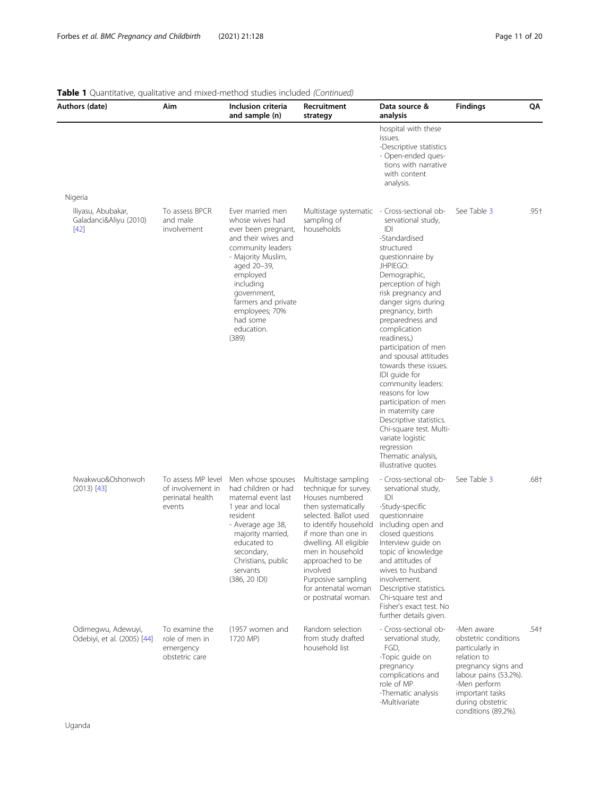| Authors (date)                                         | Aim                                                                   | Inclusion criteria<br>and sample (n)                                                                                                                                                                                                                            | Recruitment<br>strategy                                                                                                                                                                                                                                                                                           | Data source &<br>analysis                                                                                                                                                                                                                                                                                                                                                                                                                                                                                                                                                | <b>Findings</b>                                                                                                                                                                                    | QA   |
|--------------------------------------------------------|-----------------------------------------------------------------------|-----------------------------------------------------------------------------------------------------------------------------------------------------------------------------------------------------------------------------------------------------------------|-------------------------------------------------------------------------------------------------------------------------------------------------------------------------------------------------------------------------------------------------------------------------------------------------------------------|--------------------------------------------------------------------------------------------------------------------------------------------------------------------------------------------------------------------------------------------------------------------------------------------------------------------------------------------------------------------------------------------------------------------------------------------------------------------------------------------------------------------------------------------------------------------------|----------------------------------------------------------------------------------------------------------------------------------------------------------------------------------------------------|------|
|                                                        |                                                                       |                                                                                                                                                                                                                                                                 |                                                                                                                                                                                                                                                                                                                   | hospital with these<br>issues.<br>-Descriptive statistics<br>- Open-ended ques-<br>tions with narrative<br>with content<br>analysis.                                                                                                                                                                                                                                                                                                                                                                                                                                     |                                                                                                                                                                                                    |      |
| Nigeria                                                |                                                                       |                                                                                                                                                                                                                                                                 |                                                                                                                                                                                                                                                                                                                   |                                                                                                                                                                                                                                                                                                                                                                                                                                                                                                                                                                          |                                                                                                                                                                                                    |      |
| Iliyasu, Abubakar,<br>Galadanci&Aliyu (2010)<br>$[42]$ | To assess BPCR<br>and male<br>involvement                             | Ever married men<br>whose wives had<br>ever been pregnant,<br>and their wives and<br>community leaders<br>- Majority Muslim,<br>aged 20-39,<br>employed<br>including<br>government,<br>farmers and private<br>employees; 70%<br>had some<br>education.<br>(389) | Multistage systematic - Cross-sectional ob-<br>sampling of<br>households                                                                                                                                                                                                                                          | servational study,<br> D <br>-Standardised<br>structured<br>questionnaire by<br>JHPIEGO:<br>Demographic,<br>perception of high<br>risk pregnancy and<br>danger signs during<br>pregnancy, birth<br>preparedness and<br>complication<br>readiness,)<br>participation of men<br>and spousal attitudes<br>towards these issues.<br>IDI quide for<br>community leaders:<br>reasons for low<br>participation of men<br>in maternity care<br>Descriptive statistics.<br>Chi-square test. Multi-<br>variate logistic<br>regression<br>Thematic analysis,<br>illustrative quotes | See Table 3                                                                                                                                                                                        | .95+ |
| Nwakwuo&Oshonwoh<br>$(2013)$ [43]                      | To assess MP level<br>of involvement in<br>perinatal health<br>events | Men whose spouses<br>had children or had<br>maternal event last<br>1 year and local<br>resident<br>- Average age 38,<br>majority married,<br>educated to<br>secondary,<br>Christians, public<br>servants<br>(386, 20 IDI)                                       | Multistage sampling<br>technique for survey.<br>Houses numbered<br>then systematically<br>selected. Ballot used<br>to identify household<br>if more than one in<br>dwelling. All eligible<br>men in household<br>approached to be<br>involved<br>Purposive sampling<br>for antenatal woman<br>or postnatal woman. | - Cross-sectional ob-<br>servational study,<br>IDI<br>-Study-specific<br>questionnaire<br>including open and<br>closed questions<br>Interview guide on<br>topic of knowledge<br>and attitudes of<br>wives to husband<br>involvement.<br>Descriptive statistics.<br>Chi-square test and<br>Fisher's exact test. No<br>further details given.                                                                                                                                                                                                                              | See Table 3                                                                                                                                                                                        | .68+ |
| Odimegwu, Adewuyi,<br>Odebiyi, et al. (2005) [44]      | To examine the<br>role of men in<br>emergency<br>obstetric care       | (1957 women and<br>1720 MP)                                                                                                                                                                                                                                     | Random selection<br>from study drafted<br>household list                                                                                                                                                                                                                                                          | - Cross-sectional ob-<br>servational study,<br>FGD,<br>-Topic guide on<br>pregnancy<br>complications and<br>role of MP<br>-Thematic analysis<br>-Multivariate                                                                                                                                                                                                                                                                                                                                                                                                            | -Men aware<br>obstetric conditions<br>particularly in<br>relation to<br>pregnancy signs and<br>labour pains (53.2%).<br>-Men perform<br>important tasks<br>during obstetric<br>conditions (89.2%). | .54† |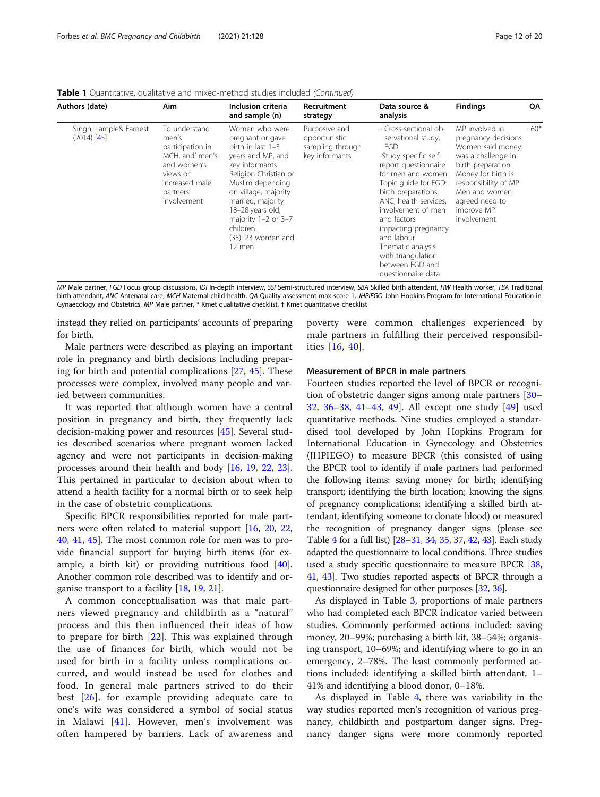| Authors (date)                          | Aim                                                                                                                                    | Inclusion criteria<br>and sample (n)                                                                                                                                                                                                                                                        | Recruitment<br>strategy                                              | Data source &<br>analysis                                                                                                                                                                                                                                                                                                                                             | <b>Findings</b>                                                                                                                                                                                                    | QA     |
|-----------------------------------------|----------------------------------------------------------------------------------------------------------------------------------------|---------------------------------------------------------------------------------------------------------------------------------------------------------------------------------------------------------------------------------------------------------------------------------------------|----------------------------------------------------------------------|-----------------------------------------------------------------------------------------------------------------------------------------------------------------------------------------------------------------------------------------------------------------------------------------------------------------------------------------------------------------------|--------------------------------------------------------------------------------------------------------------------------------------------------------------------------------------------------------------------|--------|
| Singh, Lample& Earnest<br>$(2014)$ [45] | To understand<br>men's<br>participation in<br>MCH, and' men's<br>and women's<br>views on<br>increased male<br>partners'<br>involvement | Women who were<br>pregnant or gave<br>birth in last $1-3$<br>years and MP, and<br>key informants<br>Religion Christian or<br>Muslim depending<br>on village, majority<br>married, majority<br>18-28 years old,<br>majority $1-2$ or $3-7$<br>children.<br>$(35)$ : 23 women and<br>$12$ men | Purposive and<br>opportunistic<br>sampling through<br>key informants | - Cross-sectional ob-<br>servational study,<br><b>FGD</b><br>-Study specific self-<br>report questionnaire<br>for men and women<br>Topic quide for FGD:<br>birth preparations,<br>ANC, health services,<br>involvement of men<br>and factors<br>impacting pregnancy<br>and labour<br>Thematic analysis<br>with triangulation<br>between FGD and<br>questionnaire data | MP involved in<br>pregnancy decisions<br>Women said money<br>was a challenge in<br>birth preparation<br>Money for birth is<br>responsibility of MP<br>Men and women<br>agreed need to<br>improve MP<br>involvement | $.60*$ |

**Table 1** Quantitative, qualitative and mixed-method studies included (Continued)

MP Male partner, FGD Focus group discussions, IDI In-depth interview, SSI Semi-structured interview, SBA Skilled birth attendant, HW Health worker, TBA Traditional birth attendant, ANC Antenatal care, MCH Maternal child health, QA Quality assessment max score 1, JHPIEGO John Hopkins Program for International Education in Gynaecology and Obstetrics, MP Male partner, \* Kmet qualitative checklist, † Kmet quantitative checklist

instead they relied on participants' accounts of preparing for birth.

Male partners were described as playing an important role in pregnancy and birth decisions including preparing for birth and potential complications [\[27](#page-18-0), [45](#page-19-0)]. These processes were complex, involved many people and varied between communities.

It was reported that although women have a central position in pregnancy and birth, they frequently lack decision-making power and resources [[45\]](#page-19-0). Several studies described scenarios where pregnant women lacked agency and were not participants in decision-making processes around their health and body [[16](#page-18-0), [19,](#page-18-0) [22,](#page-18-0) [23](#page-18-0)]. This pertained in particular to decision about when to attend a health facility for a normal birth or to seek help in the case of obstetric complications.

Specific BPCR responsibilities reported for male partners were often related to material support [[16](#page-18-0), [20](#page-18-0), [22](#page-18-0), [40,](#page-19-0) [41,](#page-19-0) [45\]](#page-19-0). The most common role for men was to provide financial support for buying birth items (for example, a birth kit) or providing nutritious food [\[40](#page-19-0)]. Another common role described was to identify and organise transport to a facility [\[18,](#page-18-0) [19,](#page-18-0) [21\]](#page-18-0).

A common conceptualisation was that male partners viewed pregnancy and childbirth as a "natural" process and this then influenced their ideas of how to prepare for birth [[22](#page-18-0)]. This was explained through the use of finances for birth, which would not be used for birth in a facility unless complications occurred, and would instead be used for clothes and food. In general male partners strived to do their best [[26\]](#page-18-0), for example providing adequate care to one's wife was considered a symbol of social status in Malawi [[41\]](#page-19-0). However, men's involvement was often hampered by barriers. Lack of awareness and

poverty were common challenges experienced by male partners in fulfilling their perceived responsibilities [\[16,](#page-18-0) [40](#page-19-0)].

#### Measurement of BPCR in male partners

Fourteen studies reported the level of BPCR or recognition of obstetric danger signs among male partners [[30](#page-18-0)– [32,](#page-19-0) [36](#page-19-0)–[38,](#page-19-0) [41](#page-19-0)–[43](#page-19-0), [49\]](#page-19-0). All except one study [\[49](#page-19-0)] used quantitative methods. Nine studies employed a standardised tool developed by John Hopkins Program for International Education in Gynecology and Obstetrics (JHPIEGO) to measure BPCR (this consisted of using the BPCR tool to identify if male partners had performed the following items: saving money for birth; identifying transport; identifying the birth location; knowing the signs of pregnancy complications; identifying a skilled birth attendant, identifying someone to donate blood) or measured the recognition of pregnancy danger signs (please see Table [4](#page-15-0) for a full list) [\[28](#page-18-0)–[31,](#page-18-0) [34,](#page-19-0) [35,](#page-19-0) [37,](#page-19-0) [42](#page-19-0), [43](#page-19-0)]. Each study adapted the questionnaire to local conditions. Three studies used a study specific questionnaire to measure BPCR [\[38](#page-19-0), [41](#page-19-0), [43](#page-19-0)]. Two studies reported aspects of BPCR through a questionnaire designed for other purposes [\[32](#page-19-0), [36](#page-19-0)].

As displayed in Table [3](#page-14-0), proportions of male partners who had completed each BPCR indicator varied between studies. Commonly performed actions included: saving money, 20–99%; purchasing a birth kit, 38–54%; organising transport, 10–69%; and identifying where to go in an emergency, 2–78%. The least commonly performed actions included: identifying a skilled birth attendant, 1– 41% and identifying a blood donor, 0–18%.

As displayed in Table [4](#page-15-0), there was variability in the way studies reported men's recognition of various pregnancy, childbirth and postpartum danger signs. Pregnancy danger signs were more commonly reported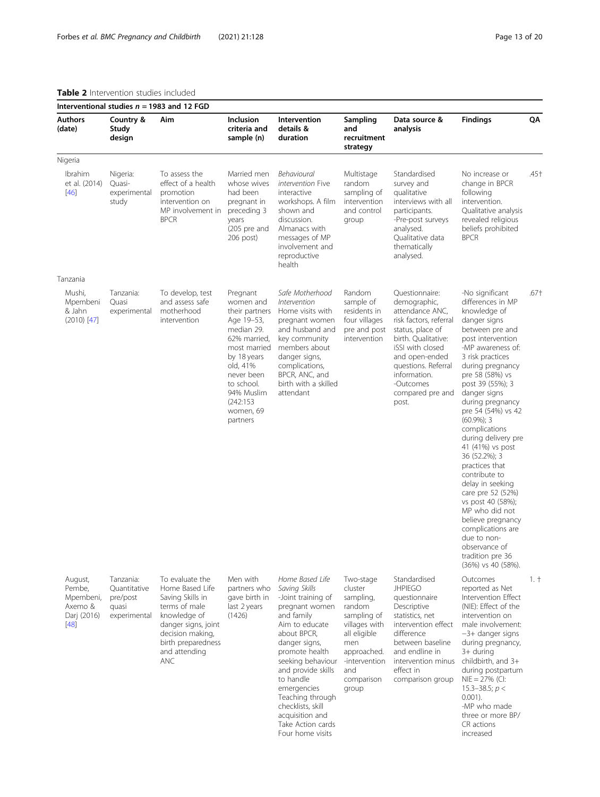## <span id="page-12-0"></span>Table 2 Intervention studies included

|                                                                    |                                                                | Interventional studies $n = 1983$ and 12 FGD                                                                                                                                            |                                                                                                                                                                                                                |                                                                                                                                                                                                                                                                                                                                        |                                                                                                                                                                  |                                                                                                                                                                                                                                               |                                                                                                                                                                                                                                                                                                                                                                                                                                                                                                                                                                                                                  |        |
|--------------------------------------------------------------------|----------------------------------------------------------------|-----------------------------------------------------------------------------------------------------------------------------------------------------------------------------------------|----------------------------------------------------------------------------------------------------------------------------------------------------------------------------------------------------------------|----------------------------------------------------------------------------------------------------------------------------------------------------------------------------------------------------------------------------------------------------------------------------------------------------------------------------------------|------------------------------------------------------------------------------------------------------------------------------------------------------------------|-----------------------------------------------------------------------------------------------------------------------------------------------------------------------------------------------------------------------------------------------|------------------------------------------------------------------------------------------------------------------------------------------------------------------------------------------------------------------------------------------------------------------------------------------------------------------------------------------------------------------------------------------------------------------------------------------------------------------------------------------------------------------------------------------------------------------------------------------------------------------|--------|
| <b>Authors</b><br>(date)                                           | Country &<br>Study<br>design                                   | Aim                                                                                                                                                                                     | Inclusion<br>criteria and<br>sample (n)                                                                                                                                                                        | Intervention<br>details &<br>duration                                                                                                                                                                                                                                                                                                  | Sampling<br>and<br>recruitment<br>strategy                                                                                                                       | Data source &<br>analysis                                                                                                                                                                                                                     | <b>Findings</b>                                                                                                                                                                                                                                                                                                                                                                                                                                                                                                                                                                                                  | QΑ     |
| Nigeria                                                            |                                                                |                                                                                                                                                                                         |                                                                                                                                                                                                                |                                                                                                                                                                                                                                                                                                                                        |                                                                                                                                                                  |                                                                                                                                                                                                                                               |                                                                                                                                                                                                                                                                                                                                                                                                                                                                                                                                                                                                                  |        |
| Ibrahim<br>et al. (2014)<br>$[46]$                                 | Nigeria:<br>Quasi-<br>experimental<br>study                    | To assess the<br>effect of a health<br>promotion<br>intervention on<br>MP involvement in<br><b>BPCR</b>                                                                                 | Married men<br>whose wives<br>had been<br>pregnant in<br>preceding 3<br>years<br>$(205$ pre and<br>206 post)                                                                                                   | Behavioural<br>intervention Five<br>interactive<br>workshops. A film<br>shown and<br>discussion.<br>Almanacs with<br>messages of MP<br>involvement and<br>reproductive<br>health                                                                                                                                                       | Multistage<br>random<br>sampling of<br>intervention<br>and control<br>group                                                                                      | Standardised<br>survey and<br>qualitative<br>interviews with all<br>participants.<br>-Pre-post surveys<br>analysed.<br>Qualitative data<br>thematically<br>analysed.                                                                          | No increase or<br>change in BPCR<br>following<br>intervention.<br>Qualitative analysis<br>revealed religious<br>beliefs prohibited<br><b>BPCR</b>                                                                                                                                                                                                                                                                                                                                                                                                                                                                | .45+   |
| Tanzania                                                           |                                                                |                                                                                                                                                                                         |                                                                                                                                                                                                                |                                                                                                                                                                                                                                                                                                                                        |                                                                                                                                                                  |                                                                                                                                                                                                                                               |                                                                                                                                                                                                                                                                                                                                                                                                                                                                                                                                                                                                                  |        |
| Mushi,<br>Mpembeni<br>& Jahn<br>$(2010)$ [47]                      | Tanzania:<br>Quasi<br>experimental                             | To develop, test<br>and assess safe<br>motherhood<br>intervention                                                                                                                       | Pregnant<br>women and<br>their partners<br>Age 19-53,<br>median 29.<br>62% married,<br>most married<br>by 18 years<br>old, 41%<br>never been<br>to school.<br>94% Muslim<br>(242:153)<br>women, 69<br>partners | Safe Motherhood<br>Intervention<br>Home visits with<br>pregnant women<br>and husband and<br>key community<br>members about<br>danger signs,<br>complications,<br>BPCR, ANC, and<br>birth with a skilled<br>attendant                                                                                                                   | Random<br>sample of<br>residents in<br>four villages<br>pre and post<br>intervention                                                                             | Questionnaire:<br>demographic,<br>attendance ANC.<br>risk factors, referral<br>status, place of<br>birth. Qualitative:<br>iSSI with closed<br>and open-ended<br>questions. Referral<br>information.<br>-Outcomes<br>compared pre and<br>post. | -No significant<br>differences in MP<br>knowledge of<br>danger signs<br>between pre and<br>post intervention<br>-MP awareness of:<br>3 risk practices<br>during pregnancy<br>pre 58 (58%) vs<br>post 39 (55%); 3<br>danger signs<br>during pregnancy<br>pre 54 (54%) vs 42<br>$(60.9\%)$ ; 3<br>complications<br>during delivery pre<br>41 (41%) vs post<br>36 (52.2%); 3<br>practices that<br>contribute to<br>delay in seeking<br>care pre 52 (52%)<br>vs post 40 (58%);<br>MP who did not<br>believe pregnancy<br>complications are<br>due to non-<br>observance of<br>tradition pre 36<br>(36%) vs 40 (58%). | $.67+$ |
| August,<br>Pembe,<br>Mpembeni,<br>Axemo &<br>Darj (2016)<br>$[48]$ | Tanzania:<br>Quantitative<br>pre/post<br>quasi<br>experimental | To evaluate the<br>Home Based Life<br>Saving Skills in<br>terms of male<br>knowledge of<br>danger signs, joint<br>decision making,<br>birth preparedness<br>and attending<br><b>ANC</b> | Men with<br>partners who<br>gave birth in<br>last 2 years<br>(1426)                                                                                                                                            | Home Based Life<br>Saving Skills<br>-Joint training of<br>pregnant women<br>and family<br>Aim to educate<br>about BPCR,<br>danger signs,<br>promote health<br>seeking behaviour<br>and provide skills<br>to handle<br>emergencies<br>Teaching through<br>checklists, skill<br>acquisition and<br>Take Action cards<br>Four home visits | Two-stage<br>cluster<br>sampling,<br>random<br>sampling of<br>villages with<br>all eligible<br>men<br>approached.<br>-intervention<br>and<br>comparison<br>group | Standardised<br><b>JHPIEGO</b><br>questionnaire<br>Descriptive<br>statistics, net<br>intervention effect<br>difference<br>between baseline<br>and endline in<br>intervention minus<br>effect in<br>comparison group                           | Outcomes<br>reported as Net<br>Intervention Effect<br>(NIE): Effect of the<br>intervention on<br>male involvement:<br>$-3+$ danger signs<br>during pregnancy,<br>3+ during<br>childbirth, and 3+<br>during postpartum<br>$NIE = 27\%$ (CI:<br>15.3-38.5; $p <$<br>$0.001$ ).<br>-MP who made<br>three or more BP/<br>CR actions<br>increased                                                                                                                                                                                                                                                                     | 1. †   |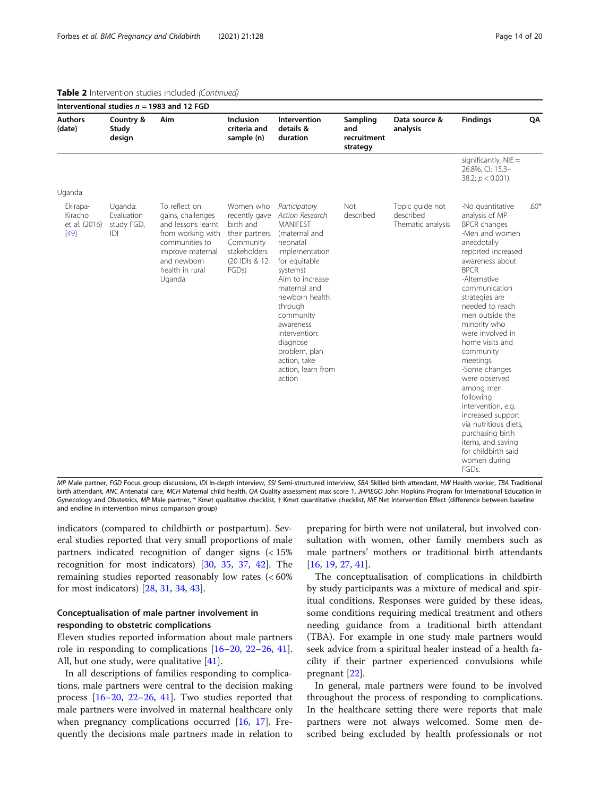|                                                |                                            | Interventional studies $n = 1983$ and 12 FGD                                                                                                                    |                                                                                                                   |                                                                                                                                                                                                                                                                                                                         |                                            |                                                   |                                                                                                                                                                                                                                                                                                                                                                                                                                                                                                                                                      |        |
|------------------------------------------------|--------------------------------------------|-----------------------------------------------------------------------------------------------------------------------------------------------------------------|-------------------------------------------------------------------------------------------------------------------|-------------------------------------------------------------------------------------------------------------------------------------------------------------------------------------------------------------------------------------------------------------------------------------------------------------------------|--------------------------------------------|---------------------------------------------------|------------------------------------------------------------------------------------------------------------------------------------------------------------------------------------------------------------------------------------------------------------------------------------------------------------------------------------------------------------------------------------------------------------------------------------------------------------------------------------------------------------------------------------------------------|--------|
| <b>Authors</b><br>(date)                       | Country &<br>Study<br>design               | Aim                                                                                                                                                             | Inclusion<br>criteria and<br>sample (n)                                                                           | Intervention<br>details &<br>duration                                                                                                                                                                                                                                                                                   | Sampling<br>and<br>recruitment<br>strategy | Data source &<br>analysis                         | <b>Findings</b>                                                                                                                                                                                                                                                                                                                                                                                                                                                                                                                                      | QA     |
|                                                |                                            |                                                                                                                                                                 |                                                                                                                   |                                                                                                                                                                                                                                                                                                                         |                                            |                                                   | significantly, $NIE =$<br>26.8%, CI: 15.3-<br>38.2; $p < 0.001$ ).                                                                                                                                                                                                                                                                                                                                                                                                                                                                                   |        |
| Uganda                                         |                                            |                                                                                                                                                                 |                                                                                                                   |                                                                                                                                                                                                                                                                                                                         |                                            |                                                   |                                                                                                                                                                                                                                                                                                                                                                                                                                                                                                                                                      |        |
| Ekirapa-<br>Kiracho<br>et al. (2016)<br>$[49]$ | Uganda:<br>Evaluation<br>study FGD,<br>IDI | To reflect on<br>gains, challenges<br>and lessons learnt<br>from working with<br>communities to<br>improve maternal<br>and newborn<br>health in rural<br>Uganda | Women who<br>recently gave<br>birth and<br>their partners<br>Community<br>stakeholders<br>(20 IDIs & 12)<br>FGDs) | Participatory<br>Action Research<br><b>MANIFFST</b><br>(maternal and<br>neonatal<br>implementation<br>for equitable<br>systems)<br>Aim to increase<br>maternal and<br>newborn health<br>through<br>community<br>awareness<br>Intervention:<br>diagnose<br>problem, plan<br>action, take<br>action, learn from<br>action | Not<br>described                           | Topic quide not<br>described<br>Thematic analysis | -No quantitative<br>analysis of MP<br><b>BPCR</b> changes<br>-Men and women<br>anecdotally<br>reported increased<br>awareness about<br><b>BPCR</b><br>-Alternative<br>communication<br>strategies are<br>needed to reach<br>men outside the<br>minority who<br>were involved in<br>home visits and<br>community<br>meetings<br>-Some changes<br>were observed<br>among men<br>following<br>intervention, e.g.<br>increased support<br>via nutritious diets,<br>purchasing birth<br>items, and saving<br>for childbirth said<br>women during<br>FGDs. | $.60*$ |

## Table 2 Intervention studies included (Continued)

MP Male partner, FGD Focus group discussions, IDI In-depth interview, SSI Semi-structured interview, SBA Skilled birth attendant, HW Health worker, TBA Traditional birth attendant, ANC Antenatal care, MCH Maternal child health, QA Quality assessment max score 1, JHPIEGO John Hopkins Program for International Education in Gynecology and Obstetrics, MP Male partner, \* Kmet qualitative checklist, † Kmet quantitative checklist, NIE Net Intervention Effect (difference between baseline and endline in intervention minus comparison group)

indicators (compared to childbirth or postpartum). Several studies reported that very small proportions of male partners indicated recognition of danger signs (< 15% recognition for most indicators) [[30](#page-18-0), [35](#page-19-0), [37,](#page-19-0) [42\]](#page-19-0). The remaining studies reported reasonably low rates (< 60% for most indicators) [\[28,](#page-18-0) [31,](#page-18-0) [34,](#page-19-0) [43\]](#page-19-0).

## Conceptualisation of male partner involvement in responding to obstetric complications

Eleven studies reported information about male partners role in responding to complications [[16](#page-18-0)–[20](#page-18-0), [22](#page-18-0)–[26,](#page-18-0) [41](#page-19-0)]. All, but one study, were qualitative [[41\]](#page-19-0).

In all descriptions of families responding to complications, male partners were central to the decision making process [[16](#page-18-0)–[20](#page-18-0), [22](#page-18-0)–[26,](#page-18-0) [41](#page-19-0)]. Two studies reported that male partners were involved in maternal healthcare only when pregnancy complications occurred [[16,](#page-18-0) [17\]](#page-18-0). Frequently the decisions male partners made in relation to

preparing for birth were not unilateral, but involved consultation with women, other family members such as male partners' mothers or traditional birth attendants [[16,](#page-18-0) [19,](#page-18-0) [27,](#page-18-0) [41](#page-19-0)].

The conceptualisation of complications in childbirth by study participants was a mixture of medical and spiritual conditions. Responses were guided by these ideas, some conditions requiring medical treatment and others needing guidance from a traditional birth attendant (TBA). For example in one study male partners would seek advice from a spiritual healer instead of a health facility if their partner experienced convulsions while pregnant [\[22](#page-18-0)].

In general, male partners were found to be involved throughout the process of responding to complications. In the healthcare setting there were reports that male partners were not always welcomed. Some men described being excluded by health professionals or not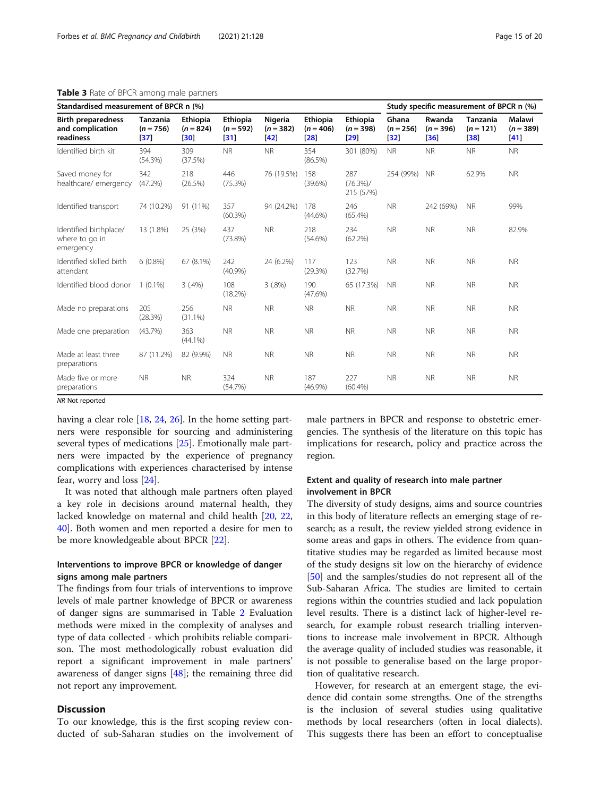| Standardised measurement of BPCR n (%)                     |                                |                                       |                                 |                                |                                       |                                                   | Study specific measurement of BPCR n (%) |                              |                                       |                                     |
|------------------------------------------------------------|--------------------------------|---------------------------------------|---------------------------------|--------------------------------|---------------------------------------|---------------------------------------------------|------------------------------------------|------------------------------|---------------------------------------|-------------------------------------|
| <b>Birth preparedness</b><br>and complication<br>readiness | Tanzania<br>$(n = 756)$<br> 37 | <b>Ethiopia</b><br>$(n = 824)$<br> 30 | Ethiopia<br>$(n = 592)$<br>[31] | Nigeria<br>$(n = 382)$<br>[42] | <b>Ethiopia</b><br>$(n = 406)$<br> 28 | <b>Ethiopia</b><br>$(n = 398)$<br>$\mathbf{[29]}$ | Ghana<br>$(n = 256)$<br> 32              | Rwanda<br>$(n = 396)$<br> 36 | <b>Tanzania</b><br>$(n = 121)$<br> 38 | <b>Malawi</b><br>$(n = 389)$<br> 41 |
| Identified birth kit                                       | 394<br>(54.3%)                 | 309<br>(37.5%)                        | <b>NR</b>                       | <b>NR</b>                      | 354<br>(86.5%)                        | 301 (80%)                                         | <b>NR</b>                                | <b>NR</b>                    | <b>NR</b>                             | <b>NR</b>                           |
| Saved money for<br>healthcare/ emergency                   | 342<br>$(47.2\%)$              | 218<br>(26.5%)                        | 446<br>(75.3%)                  | 76 (19.5%)                     | 158<br>$(39.6\%)$                     | 287<br>$(76.3\%)/$<br>215 (57%)                   | 254 (99%)                                | <b>NR</b>                    | 62.9%                                 | <b>NR</b>                           |
| Identified transport                                       | 74 (10.2%)                     | 91 (11%)                              | 357<br>(60.3%)                  | 94 (24.2%)                     | 178<br>$(44.6\%)$                     | 246<br>(65.4%)                                    | <b>NR</b>                                | 242 (69%)                    | <b>NR</b>                             | 99%                                 |
| Identified birthplace/<br>where to go in<br>emergency      | 13 (1.8%)                      | 25 (3%)                               | 437<br>$(73.8\%)$               | <b>NR</b>                      | 218<br>$(54.6\%)$                     | 234<br>$(62.2\%)$                                 | <b>NR</b>                                | <b>NR</b>                    | <b>NR</b>                             | 82.9%                               |
| Identified skilled birth<br>attendant                      | $6(0.8\%)$                     | 67 (8.1%)                             | 242<br>(40.9%                   | 24 (6.2%)                      | 117<br>(29.3%)                        | 123<br>(32.7%)                                    | <b>NR</b>                                | <b>NR</b>                    | <b>NR</b>                             | <b>NR</b>                           |
| Identified blood donor                                     | $1(0.1\%)$                     | $3(.4\%)$                             | 108<br>(18.2%)                  | 3(.8%)                         | 190<br>(47.6%)                        | 65 (17.3%)                                        | <b>NR</b>                                | <b>NR</b>                    | <b>NR</b>                             | <b>NR</b>                           |
| Made no preparations                                       | 205<br>(28.3%)                 | 256<br>$(31.1\%)$                     | <b>NR</b>                       | <b>NR</b>                      | <b>NR</b>                             | <b>NR</b>                                         | <b>NR</b>                                | <b>NR</b>                    | <b>NR</b>                             | <b>NR</b>                           |
| Made one preparation                                       | (43.7%)                        | 363<br>$(44.1\%)$                     | <b>NR</b>                       | <b>NR</b>                      | <b>NR</b>                             | <b>NR</b>                                         | <b>NR</b>                                | <b>NR</b>                    | <b>NR</b>                             | <b>NR</b>                           |
| Made at least three<br>preparations                        | 87 (11.2%)                     | 82 (9.9%)                             | <b>NR</b>                       | <b>NR</b>                      | <b>NR</b>                             | <b>NR</b>                                         | <b>NR</b>                                | <b>NR</b>                    | <b>NR</b>                             | <b>NR</b>                           |
| Made five or more<br>preparations                          | <b>NR</b>                      | <b>NR</b>                             | 324<br>(54.7%)                  | <b>NR</b>                      | 187<br>$(46.9\%)$                     | 227<br>(60.4%)                                    | <b>NR</b>                                | <b>NR</b>                    | <b>NR</b>                             | <b>NR</b>                           |

#### <span id="page-14-0"></span>Table 3 Rate of BPCR among male partners

NR Not reported

having a clear role [\[18](#page-18-0), [24](#page-18-0), [26](#page-18-0)]. In the home setting partners were responsible for sourcing and administering several types of medications [[25\]](#page-18-0). Emotionally male partners were impacted by the experience of pregnancy complications with experiences characterised by intense fear, worry and loss [\[24\]](#page-18-0).

It was noted that although male partners often played a key role in decisions around maternal health, they lacked knowledge on maternal and child health [[20,](#page-18-0) [22](#page-18-0), [40\]](#page-19-0). Both women and men reported a desire for men to be more knowledgeable about BPCR [[22](#page-18-0)].

## Interventions to improve BPCR or knowledge of danger signs among male partners

The findings from four trials of interventions to improve levels of male partner knowledge of BPCR or awareness of danger signs are summarised in Table [2](#page-12-0) Evaluation methods were mixed in the complexity of analyses and type of data collected - which prohibits reliable comparison. The most methodologically robust evaluation did report a significant improvement in male partners' awareness of danger signs  $[48]$ ; the remaining three did not report any improvement.

## **Discussion**

To our knowledge, this is the first scoping review conducted of sub-Saharan studies on the involvement of male partners in BPCR and response to obstetric emergencies. The synthesis of the literature on this topic has implications for research, policy and practice across the region.

## Extent and quality of research into male partner involvement in BPCR

The diversity of study designs, aims and source countries in this body of literature reflects an emerging stage of research; as a result, the review yielded strong evidence in some areas and gaps in others. The evidence from quantitative studies may be regarded as limited because most of the study designs sit low on the hierarchy of evidence [[50\]](#page-19-0) and the samples/studies do not represent all of the Sub-Saharan Africa. The studies are limited to certain regions within the countries studied and lack population level results. There is a distinct lack of higher-level research, for example robust research trialling interventions to increase male involvement in BPCR. Although the average quality of included studies was reasonable, it is not possible to generalise based on the large proportion of qualitative research.

However, for research at an emergent stage, the evidence did contain some strengths. One of the strengths is the inclusion of several studies using qualitative methods by local researchers (often in local dialects). This suggests there has been an effort to conceptualise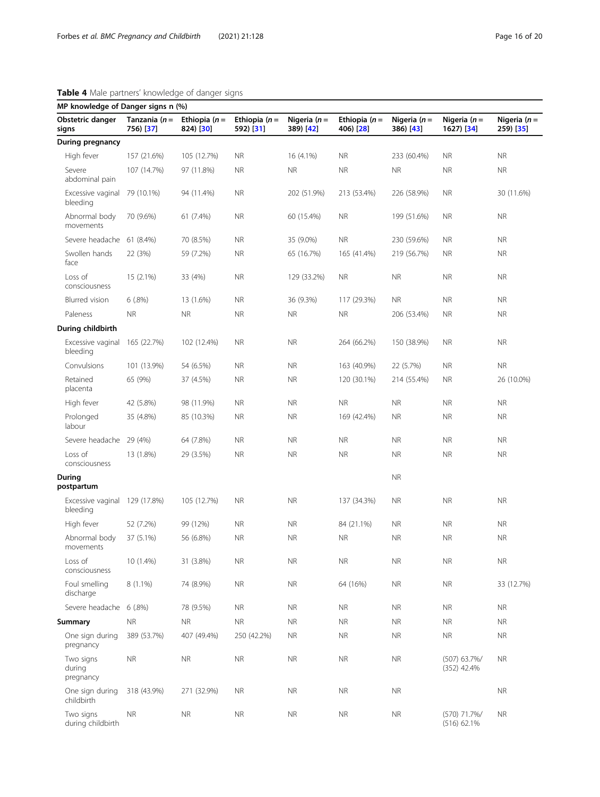| <b>Rable +</b> Male partners informedge or danger sights<br>MP knowledge of Danger signs n (%) |                               |                             |                             |                              |                             |                              |                               |                            |
|------------------------------------------------------------------------------------------------|-------------------------------|-----------------------------|-----------------------------|------------------------------|-----------------------------|------------------------------|-------------------------------|----------------------------|
| Obstetric danger<br>signs                                                                      | Tanzania ( $n =$<br>756) [37] | Ethiopia $(n=$<br>824) [30] | Ethiopia $(n=$<br>592) [31] | Nigeria ( $n =$<br>389) [42] | Ethiopia $(n=$<br>406) [28] | Nigeria ( $n =$<br>386) [43] | Nigeria ( $n =$<br>1627) [34] | Nigeria $(n=$<br>259) [35] |
| During pregnancy                                                                               |                               |                             |                             |                              |                             |                              |                               |                            |
| High fever                                                                                     | 157 (21.6%)                   | 105 (12.7%)                 | <b>NR</b>                   | 16 (4.1%)                    | <b>NR</b>                   | 233 (60.4%)                  | <b>NR</b>                     | <b>NR</b>                  |
| Severe<br>abdominal pain                                                                       | 107 (14.7%)                   | 97 (11.8%)                  | <b>NR</b>                   | <b>NR</b>                    | <b>NR</b>                   | <b>NR</b>                    | <b>NR</b>                     | <b>NR</b>                  |
| Excessive vaginal<br>bleeding                                                                  | 79 (10.1%)                    | 94 (11.4%)                  | <b>NR</b>                   | 202 (51.9%)                  | 213 (53.4%)                 | 226 (58.9%)                  | <b>NR</b>                     | 30 (11.6%)                 |
| Abnormal body<br>movements                                                                     | 70 (9.6%)                     | 61 (7.4%)                   | <b>NR</b>                   | 60 (15.4%)                   | <b>NR</b>                   | 199 (51.6%)                  | <b>NR</b>                     | <b>NR</b>                  |
| Severe headache                                                                                | 61 (8.4%)                     | 70 (8.5%)                   | <b>NR</b>                   | 35 (9.0%)                    | <b>NR</b>                   | 230 (59.6%)                  | <b>NR</b>                     | <b>NR</b>                  |
| Swollen hands<br>face                                                                          | 22 (3%)                       | 59 (7.2%)                   | <b>NR</b>                   | 65 (16.7%)                   | 165 (41.4%)                 | 219 (56.7%)                  | <b>NR</b>                     | <b>NR</b>                  |
| Loss of<br>consciousness                                                                       | 15 (2.1%)                     | 33 (4%)                     | <b>NR</b>                   | 129 (33.2%)                  | <b>NR</b>                   | <b>NR</b>                    | <b>NR</b>                     | <b>NR</b>                  |
| <b>Blurred</b> vision                                                                          | 6(.8%)                        | 13 (1.6%)                   | <b>NR</b>                   | 36 (9.3%)                    | 117 (29.3%)                 | <b>NR</b>                    | <b>NR</b>                     | <b>NR</b>                  |
| Paleness                                                                                       | <b>NR</b>                     | <b>NR</b>                   | <b>NR</b>                   | <b>NR</b>                    | <b>NR</b>                   | 206 (53.4%)                  | <b>NR</b>                     | <b>NR</b>                  |
| During childbirth                                                                              |                               |                             |                             |                              |                             |                              |                               |                            |
| Excessive vaginal<br>bleeding                                                                  | 165 (22.7%)                   | 102 (12.4%)                 | <b>NR</b>                   | <b>NR</b>                    | 264 (66.2%)                 | 150 (38.9%)                  | <b>NR</b>                     | <b>NR</b>                  |
| Convulsions                                                                                    | 101 (13.9%)                   | 54 (6.5%)                   | <b>NR</b>                   | <b>NR</b>                    | 163 (40.9%)                 | 22 (5.7%)                    | <b>NR</b>                     | <b>NR</b>                  |
| Retained<br>placenta                                                                           | 65 (9%)                       | 37 (4.5%)                   | <b>NR</b>                   | <b>NR</b>                    | 120 (30.1%)                 | 214 (55.4%)                  | <b>NR</b>                     | 26 (10.0%)                 |
| High fever                                                                                     | 42 (5.8%)                     | 98 (11.9%)                  | <b>NR</b>                   | <b>NR</b>                    | <b>NR</b>                   | <b>NR</b>                    | <b>NR</b>                     | <b>NR</b>                  |
| Prolonged<br>labour                                                                            | 35 (4.8%)                     | 85 (10.3%)                  | <b>NR</b>                   | <b>NR</b>                    | 169 (42.4%)                 | <b>NR</b>                    | <b>NR</b>                     | <b>NR</b>                  |
| Severe headache                                                                                | 29 (4%)                       | 64 (7.8%)                   | <b>NR</b>                   | <b>NR</b>                    | <b>NR</b>                   | <b>NR</b>                    | <b>NR</b>                     | <b>NR</b>                  |
| Loss of<br>consciousness                                                                       | 13 (1.8%)                     | 29 (3.5%)                   | <b>NR</b>                   | <b>NR</b>                    | <b>NR</b>                   | <b>NR</b>                    | <b>NR</b>                     | <b>NR</b>                  |
| During<br>postpartum                                                                           |                               |                             |                             |                              |                             | <b>NR</b>                    |                               |                            |
| Excessive vaginal 129 (17.8%)<br>bleeding                                                      |                               | 105 (12.7%)                 | <b>NR</b>                   | <b>NR</b>                    | 137 (34.3%)                 | <b>NR</b>                    | <b>NR</b>                     | <b>NR</b>                  |
| High fever                                                                                     | 52 (7.2%)                     | 99 (12%)                    | <b>NR</b>                   | <b>NR</b>                    | 84 (21.1%)                  | <b>NR</b>                    | <b>NR</b>                     | <b>NR</b>                  |
| Abnormal body<br>movements                                                                     | 37 (5.1%)                     | 56 (6.8%)                   | <b>NR</b>                   | <b>NR</b>                    | <b>NR</b>                   | <b>NR</b>                    | <b>NR</b>                     | <b>NR</b>                  |
| Loss of<br>consciousness                                                                       | 10 (1.4%)                     | 31 (3.8%)                   | <b>NR</b>                   | $\sf NR$                     | $\sf NR$                    | $\sf NR$                     | ${\sf NR}$                    | ${\sf NR}$                 |
| Foul smelling<br>discharge                                                                     | $8(1.1\%)$                    | 74 (8.9%)                   | <b>NR</b>                   | <b>NR</b>                    | 64 (16%)                    | <b>NR</b>                    | <b>NR</b>                     | 33 (12.7%)                 |
| Severe headache                                                                                | 6(.8%)                        | 78 (9.5%)                   | <b>NR</b>                   | <b>NR</b>                    | <b>NR</b>                   | <b>NR</b>                    | <b>NR</b>                     | <b>NR</b>                  |
| Summary                                                                                        | <b>NR</b>                     | <b>NR</b>                   | <b>NR</b>                   | <b>NR</b>                    | <b>NR</b>                   | <b>NR</b>                    | <b>NR</b>                     | <b>NR</b>                  |
| One sign during<br>pregnancy                                                                   | 389 (53.7%)                   | 407 (49.4%)                 | 250 (42.2%)                 | NR.                          | <b>NR</b>                   | <b>NR</b>                    | <b>NR</b>                     | <b>NR</b>                  |
| Two signs<br>during<br>pregnancy                                                               | <b>NR</b>                     | <b>NR</b>                   | <b>NR</b>                   | <b>NR</b>                    | $\sf NR$                    | $\sf NR$                     | (507) 63.7%/<br>$(352)$ 42.4% | <b>NR</b>                  |
| One sign during<br>childbirth                                                                  | 318 (43.9%)                   | 271 (32.9%)                 | <b>NR</b>                   | <b>NR</b>                    | <b>NR</b>                   | <b>NR</b>                    |                               | <b>NR</b>                  |
| Two signs<br>during childbirth                                                                 | <b>NR</b>                     | <b>NR</b>                   | ΝR                          | NR.                          | <b>NR</b>                   | <b>NR</b>                    | (570) 71.7%/<br>(516) 62.1%   | <b>NR</b>                  |

# <span id="page-15-0"></span>Table 4 Male partners' knowledge of danger signs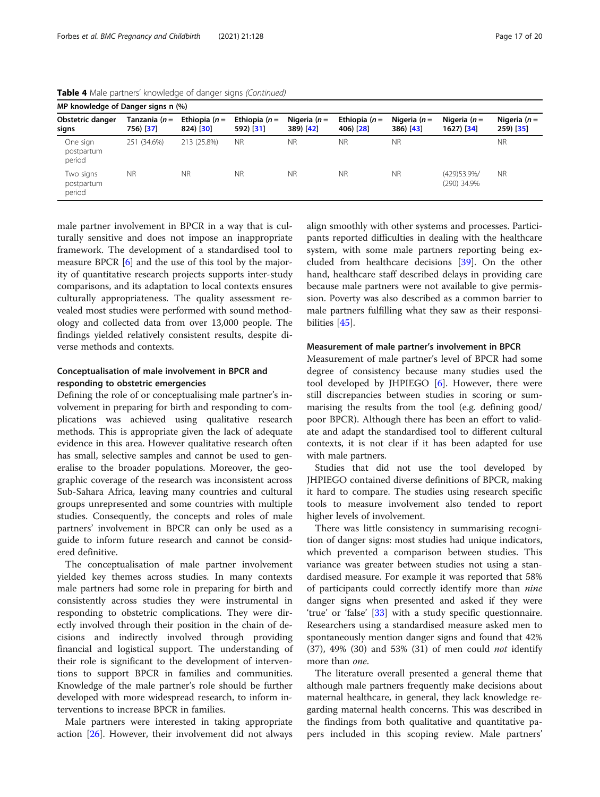| MP knowledge of Danger signs n (%) |                            |                             |                             |                             |                              |                              |                              |                               |
|------------------------------------|----------------------------|-----------------------------|-----------------------------|-----------------------------|------------------------------|------------------------------|------------------------------|-------------------------------|
| Obstetric danger<br>signs          | Tanzania (n =<br>756) [37] | Ethiopia $(n=$<br>824) [30] | Ethiopia $(n=$<br>592) [31] | Nigeria ( $n=$<br>389) [42] | Ethiopia $(n =$<br>406) [28] | Nigeria $(n=$<br>$386)$ [43] | Nigeria $(n=$<br>$1627$ [34] | Nigeria ( $n=$<br>$259)$ [35] |
| One sign<br>postpartum<br>period   | 251 (34.6%)                | 213 (25.8%)                 | <b>NR</b>                   | <b>NR</b>                   | <b>NR</b>                    | <b>NR</b>                    |                              | <b>NR</b>                     |
| Two signs<br>postpartum<br>period  | <b>NR</b>                  | <b>NR</b>                   | <b>NR</b>                   | <b>NR</b>                   | <b>NR</b>                    | <b>NR</b>                    | (429) 53.9%/<br>(290) 34.9%  | <b>NR</b>                     |

Table 4 Male partners' knowledge of danger signs (Continued)

male partner involvement in BPCR in a way that is culturally sensitive and does not impose an inappropriate framework. The development of a standardised tool to measure BPCR [\[6](#page-18-0)] and the use of this tool by the majority of quantitative research projects supports inter-study comparisons, and its adaptation to local contexts ensures culturally appropriateness. The quality assessment revealed most studies were performed with sound methodology and collected data from over 13,000 people. The findings yielded relatively consistent results, despite diverse methods and contexts.

## Conceptualisation of male involvement in BPCR and responding to obstetric emergencies

Defining the role of or conceptualising male partner's involvement in preparing for birth and responding to complications was achieved using qualitative research methods. This is appropriate given the lack of adequate evidence in this area. However qualitative research often has small, selective samples and cannot be used to generalise to the broader populations. Moreover, the geographic coverage of the research was inconsistent across Sub-Sahara Africa, leaving many countries and cultural groups unrepresented and some countries with multiple studies. Consequently, the concepts and roles of male partners' involvement in BPCR can only be used as a guide to inform future research and cannot be considered definitive.

The conceptualisation of male partner involvement yielded key themes across studies. In many contexts male partners had some role in preparing for birth and consistently across studies they were instrumental in responding to obstetric complications. They were directly involved through their position in the chain of decisions and indirectly involved through providing financial and logistical support. The understanding of their role is significant to the development of interventions to support BPCR in families and communities. Knowledge of the male partner's role should be further developed with more widespread research, to inform interventions to increase BPCR in families.

Male partners were interested in taking appropriate action [\[26\]](#page-18-0). However, their involvement did not always

align smoothly with other systems and processes. Participants reported difficulties in dealing with the healthcare system, with some male partners reporting being excluded from healthcare decisions [[39\]](#page-19-0). On the other hand, healthcare staff described delays in providing care because male partners were not available to give permission. Poverty was also described as a common barrier to male partners fulfilling what they saw as their responsibilities [[45](#page-19-0)].

## Measurement of male partner's involvement in BPCR

Measurement of male partner's level of BPCR had some degree of consistency because many studies used the tool developed by JHPIEGO  $[6]$  $[6]$ . However, there were still discrepancies between studies in scoring or summarising the results from the tool (e.g. defining good/ poor BPCR). Although there has been an effort to validate and adapt the standardised tool to different cultural contexts, it is not clear if it has been adapted for use with male partners.

Studies that did not use the tool developed by JHPIEGO contained diverse definitions of BPCR, making it hard to compare. The studies using research specific tools to measure involvement also tended to report higher levels of involvement.

There was little consistency in summarising recognition of danger signs: most studies had unique indicators, which prevented a comparison between studies. This variance was greater between studies not using a standardised measure. For example it was reported that 58% of participants could correctly identify more than nine danger signs when presented and asked if they were 'true' or 'false' [[33\]](#page-19-0) with a study specific questionnaire. Researchers using a standardised measure asked men to spontaneously mention danger signs and found that 42% (37), 49% (30) and 53% (31) of men could not identify more than *one*.

The literature overall presented a general theme that although male partners frequently make decisions about maternal healthcare, in general, they lack knowledge regarding maternal health concerns. This was described in the findings from both qualitative and quantitative papers included in this scoping review. Male partners'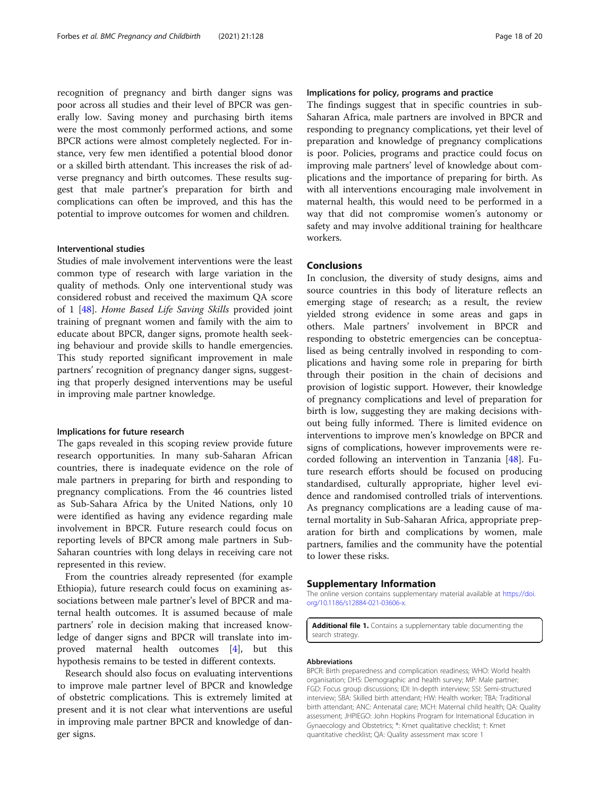<span id="page-17-0"></span>recognition of pregnancy and birth danger signs was poor across all studies and their level of BPCR was generally low. Saving money and purchasing birth items were the most commonly performed actions, and some BPCR actions were almost completely neglected. For instance, very few men identified a potential blood donor or a skilled birth attendant. This increases the risk of adverse pregnancy and birth outcomes. These results suggest that male partner's preparation for birth and complications can often be improved, and this has the potential to improve outcomes for women and children.

#### Interventional studies

Studies of male involvement interventions were the least common type of research with large variation in the quality of methods. Only one interventional study was considered robust and received the maximum QA score of 1 [\[48\]](#page-19-0). Home Based Life Saving Skills provided joint training of pregnant women and family with the aim to educate about BPCR, danger signs, promote health seeking behaviour and provide skills to handle emergencies. This study reported significant improvement in male partners' recognition of pregnancy danger signs, suggesting that properly designed interventions may be useful in improving male partner knowledge.

#### Implications for future research

The gaps revealed in this scoping review provide future research opportunities. In many sub-Saharan African countries, there is inadequate evidence on the role of male partners in preparing for birth and responding to pregnancy complications. From the 46 countries listed as Sub-Sahara Africa by the United Nations, only 10 were identified as having any evidence regarding male involvement in BPCR. Future research could focus on reporting levels of BPCR among male partners in Sub-Saharan countries with long delays in receiving care not represented in this review.

From the countries already represented (for example Ethiopia), future research could focus on examining associations between male partner's level of BPCR and maternal health outcomes. It is assumed because of male partners' role in decision making that increased knowledge of danger signs and BPCR will translate into improved maternal health outcomes [[4\]](#page-18-0), but this hypothesis remains to be tested in different contexts.

Research should also focus on evaluating interventions to improve male partner level of BPCR and knowledge of obstetric complications. This is extremely limited at present and it is not clear what interventions are useful in improving male partner BPCR and knowledge of danger signs.

## Implications for policy, programs and practice

The findings suggest that in specific countries in sub-Saharan Africa, male partners are involved in BPCR and responding to pregnancy complications, yet their level of preparation and knowledge of pregnancy complications is poor. Policies, programs and practice could focus on improving male partners' level of knowledge about complications and the importance of preparing for birth. As with all interventions encouraging male involvement in maternal health, this would need to be performed in a way that did not compromise women's autonomy or safety and may involve additional training for healthcare workers.

## Conclusions

In conclusion, the diversity of study designs, aims and source countries in this body of literature reflects an emerging stage of research; as a result, the review yielded strong evidence in some areas and gaps in others. Male partners' involvement in BPCR and responding to obstetric emergencies can be conceptualised as being centrally involved in responding to complications and having some role in preparing for birth through their position in the chain of decisions and provision of logistic support. However, their knowledge of pregnancy complications and level of preparation for birth is low, suggesting they are making decisions without being fully informed. There is limited evidence on interventions to improve men's knowledge on BPCR and signs of complications, however improvements were recorded following an intervention in Tanzania [\[48\]](#page-19-0). Future research efforts should be focused on producing standardised, culturally appropriate, higher level evidence and randomised controlled trials of interventions. As pregnancy complications are a leading cause of maternal mortality in Sub-Saharan Africa, appropriate preparation for birth and complications by women, male partners, families and the community have the potential to lower these risks.

#### Supplementary Information

The online version contains supplementary material available at [https://doi.](https://doi.org/10.1186/s12884-021-03606-x) [org/10.1186/s12884-021-03606-x](https://doi.org/10.1186/s12884-021-03606-x).

Additional file 1. Contains a supplementary table documenting the search strategy.

#### Abbreviations

BPCR: Birth preparedness and complication readiness; WHO: World health organisation; DHS: Demographic and health survey; MP: Male partner; FGD: Focus group discussions; IDI: In-depth interview; SSI: Semi-structured interview; SBA: Skilled birth attendant; HW: Health worker; TBA: Traditional birth attendant; ANC: Antenatal care; MCH: Maternal child health; QA: Quality assessment; JHPIEGO: John Hopkins Program for International Education in Gynaecology and Obstetrics; \*: Kmet qualitative checklist; †: Kmet quantitative checklist; QA: Quality assessment max score 1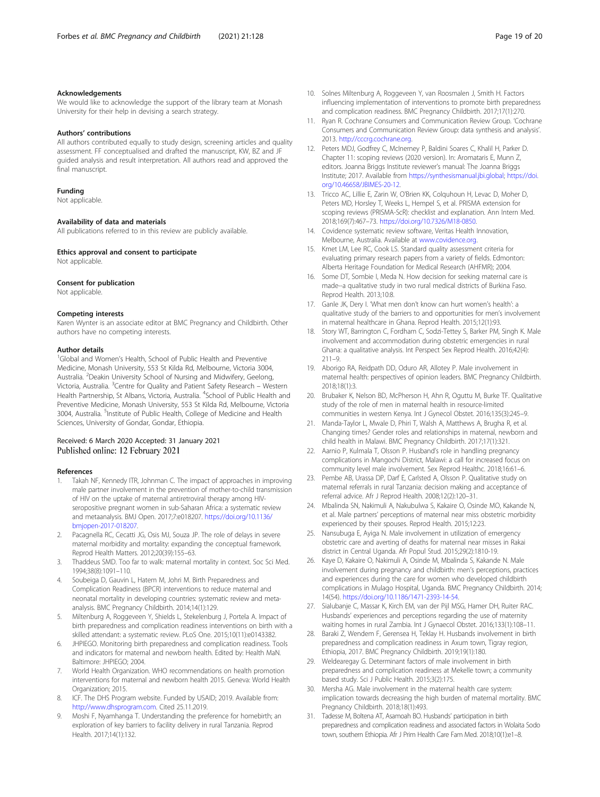#### <span id="page-18-0"></span>Acknowledgements

We would like to acknowledge the support of the library team at Monash University for their help in devising a search strategy.

#### Authors' contributions

All authors contributed equally to study design, screening articles and quality assessment. FF conceptualised and drafted the manuscript, KW, BZ and JF guided analysis and result interpretation. All authors read and approved the final manuscript.

#### Funding

Not applicable.

#### Availability of data and materials

All publications referred to in this review are publicly available.

Ethics approval and consent to participate

## Not applicable.

#### Consent for publication

Not applicable.

#### Competing interests

Karen Wynter is an associate editor at BMC Pregnancy and Childbirth. Other authors have no competing interests.

#### Author details

<sup>1</sup>Global and Women's Health, School of Public Health and Preventive Medicine, Monash University, 553 St Kilda Rd, Melbourne, Victoria 3004, Australia. <sup>2</sup>Deakin University School of Nursing and Midwifery, Geelong, Victoria, Australia. <sup>3</sup>Centre for Quality and Patient Safety Research – Western Health Partnership, St Albans, Victoria, Australia. <sup>4</sup>School of Public Health and Preventive Medicine, Monash University, 553 St Kilda Rd, Melbourne, Victoria 3004, Australia. <sup>5</sup>Institute of Public Health, College of Medicine and Health Sciences, University of Gondar, Gondar, Ethiopia.

#### Received: 6 March 2020 Accepted: 31 January 2021 Published online: 12 February 2021

#### References

- 1. Takah NF, Kennedy ITR, Johnman C. The impact of approaches in improving male partner involvement in the prevention of mother-to-child transmission of HIV on the uptake of maternal antiretroviral therapy among HIVseropositive pregnant women in sub-Saharan Africa: a systematic review and metaanalysis. BMJ Open. 2017;7:e018207. [https://doi.org/10.1136/](https://doi.org/10.1136/bmjopen-2017-018207) [bmjopen-2017-018207.](https://doi.org/10.1136/bmjopen-2017-018207)
- 2. Pacagnella RC, Cecatti JG, Osis MJ, Souza JP. The role of delays in severe maternal morbidity and mortality: expanding the conceptual framework. Reprod Health Matters. 2012;20(39):155–63.
- 3. Thaddeus SMD. Too far to walk: maternal mortality in context. Soc Sci Med. 1994;38(8):1091–110.
- 4. Soubeiga D, Gauvin L, Hatem M, Johri M. Birth Preparedness and Complication Readiness (BPCR) interventions to reduce maternal and neonatal mortality in developing countries: systematic review and metaanalysis. BMC Pregnancy Childbirth. 2014;14(1):129.
- 5. Miltenburg A, Roggeveen Y, Shields L, Stekelenburg J, Portela A. Impact of birth preparedness and complication readiness interventions on birth with a skilled attendant: a systematic review. PLoS One. 2015;10(11):e0143382.
- JHPIEGO. Monitoring birth preparedness and complication readiness. Tools and indicators for maternal and newborn health. Edited by: Health MaN. Baltimore: JHPIEGO; 2004.
- 7. World Health Organization. WHO recommendations on health promotion interventions for maternal and newborn health 2015. Geneva: World Health Organization; 2015.
- ICF. The DHS Program website. Funded by USAID; 2019. Available from: [http://www.dhsprogram.com.](http://www.dhsprogram.com) Cited 25.11.2019.
- Moshi F, Nyamhanga T. Understanding the preference for homebirth; an exploration of key barriers to facility delivery in rural Tanzania. Reprod Health. 2017;14(1):132.
- 10. Solnes Miltenburg A, Roggeveen Y, van Roosmalen J, Smith H. Factors influencing implementation of interventions to promote birth preparedness and complication readiness. BMC Pregnancy Childbirth. 2017;17(1):270.
- 11. Ryan R. Cochrane Consumers and Communication Review Group. 'Cochrane Consumers and Communication Review Group: data synthesis and analysis'. 2013. <http://cccrg.cochrane.org>.
- 12. Peters MDJ, Godfrey C, McInerney P, Baldini Soares C, Khalil H, Parker D. Chapter 11: scoping reviews (2020 version). In: Aromataris E, Munn Z, editors. Joanna Briggs Institute reviewer's manual: The Joanna Briggs Institute; 2017. Available from <https://synthesismanual.jbi.global>; [https://doi.](https://doi.org/10.46658/JBIMES-20-12) [org/10.46658/JBIMES-20-12.](https://doi.org/10.46658/JBIMES-20-12)
- 13. Tricco AC, Lillie E, Zarin W, O'Brien KK, Colguhoun H, Levac D, Moher D, Peters MD, Horsley T, Weeks L, Hempel S, et al. PRISMA extension for scoping reviews (PRISMA-ScR): checklist and explanation. Ann Intern Med. 2018;169(7):467–73. <https://doi.org/10.7326/M18-0850>.
- 14. Covidence systematic review software, Veritas Health Innovation, Melbourne, Australia. Available at [www.covidence.org](https://www.covidence.org).
- 15. Kmet LM, Lee RC, Cook LS. Standard quality assessment criteria for evaluating primary research papers from a variety of fields. Edmonton: Alberta Heritage Foundation for Medical Research (AHFMR); 2004.
- 16. Some DT, Sombie I, Meda N. How decision for seeking maternal care is made--a qualitative study in two rural medical districts of Burkina Faso. Reprod Health. 2013;10:8.
- 17. Ganle JK, Dery I. 'What men don't know can hurt women's health': a qualitative study of the barriers to and opportunities for men's involvement in maternal healthcare in Ghana. Reprod Health. 2015;12(1):93.
- 18. Story WT, Barrington C, Fordham C, Sodzi-Tettey S, Barker PM, Singh K. Male involvement and accommodation during obstetric emergencies in rural Ghana: a qualitative analysis. Int Perspect Sex Reprod Health. 2016;42(4): 211–9.
- 19. Aborigo RA, Reidpath DD, Oduro AR, Allotey P. Male involvement in maternal health: perspectives of opinion leaders. BMC Pregnancy Childbirth. 2018;18(1):3.
- 20. Brubaker K, Nelson BD, McPherson H, Ahn R, Oguttu M, Burke TF. Qualitative study of the role of men in maternal health in resource-limited communities in western Kenya. Int J Gynecol Obstet. 2016;135(3):245–9.
- 21. Manda-Taylor L, Mwale D, Phiri T, Walsh A, Matthews A, Brugha R, et al. Changing times? Gender roles and relationships in maternal, newborn and child health in Malawi. BMC Pregnancy Childbirth. 2017;17(1):321.
- 22. Aarnio P, Kulmala T, Olsson P. Husband's role in handling pregnancy complications in Mangochi District, Malawi: a call for increased focus on community level male involvement. Sex Reprod Healthc. 2018;16:61–6.
- 23. Pembe AB, Urassa DP, Darf E, Carlsted A, Olsson P. Qualitative study on maternal referrals in rural Tanzania: decision making and acceptance of referral advice. Afr J Reprod Health. 2008;12(2):120–31.
- 24. Mbalinda SN, Nakimuli A, Nakubulwa S, Kakaire O, Osinde MO, Kakande N, et al. Male partners' perceptions of maternal near miss obstetric morbidity experienced by their spouses. Reprod Health. 2015;12:23.
- 25. Nansubuga E, Ayiga N. Male involvement in utilization of emergency obstetric care and averting of deaths for maternal near misses in Rakai district in Central Uganda. Afr Popul Stud. 2015;29(2):1810-19.
- 26. Kaye D, Kakaire O, Nakimuli A, Osinde M, Mbalinda S, Kakande N. Male involvement during pregnancy and childbirth: men's perceptions, practices and experiences during the care for women who developed childbirth complications in Mulago Hospital, Uganda. BMC Pregnancy Childbirth. 2014; 14(54). [https://doi.org/10.1186/1471-2393-14-54.](https://doi.org/10.1186/1471-2393-14-54)
- 27. Sialubanje C, Massar K, Kirch EM, van der Pijl MSG, Hamer DH, Ruiter RAC. Husbands' experiences and perceptions regarding the use of maternity waiting homes in rural Zambia. Int J Gynaecol Obstet. 2016;133(1):108–11.
- 28. Baraki Z, Wendem F, Gerensea H, Teklay H. Husbands involvement in birth preparedness and complication readiness in Axum town, Tigray region, Ethiopia, 2017. BMC Pregnancy Childbirth. 2019;19(1):180.
- 29. Weldearegay G. Determinant factors of male involvement in birth preparedness and complication readiness at Mekelle town; a community based study. Sci J Public Health. 2015;3(2):175.
- 30. Mersha AG. Male involvement in the maternal health care system: implication towards decreasing the high burden of maternal mortality. BMC Pregnancy Childbirth. 2018;18(1):493.
- 31. Tadesse M, Boltena AT, Asamoah BO. Husbands' participation in birth preparedness and complication readiness and associated factors in Wolaita Sodo town, southern Ethiopia. Afr J Prim Health Care Fam Med. 2018;10(1):e1–8.